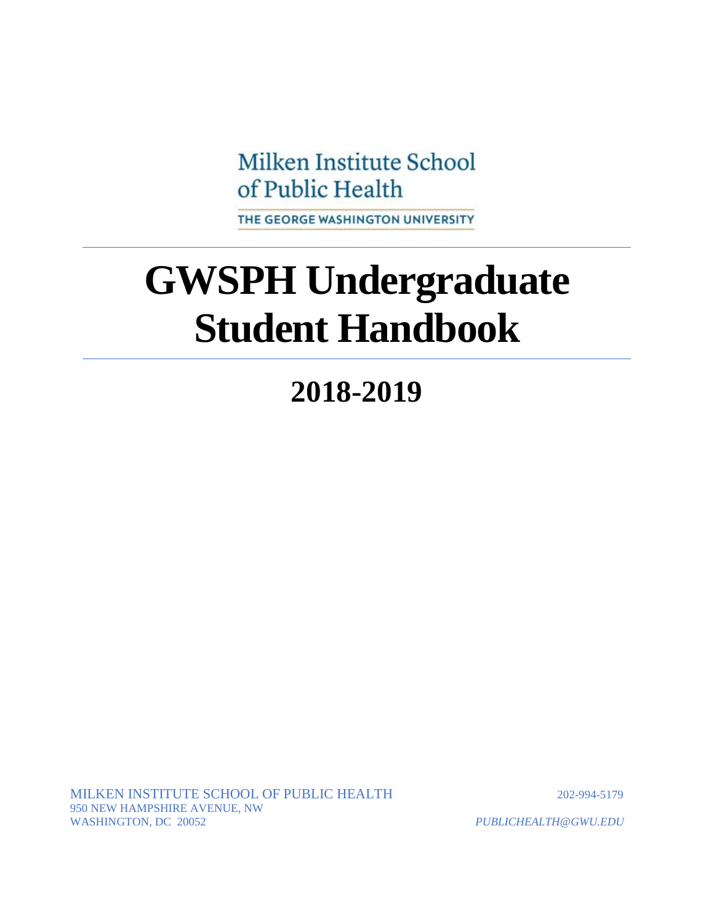Milken Institute School of Public Health

THE GEORGE WASHINGTON UNIVERSITY

# **GWSPH Undergraduate Student Handbook**

## **2018-2019**

MILKEN INSTITUTE SCHOOL OF PUBLIC HEALTH 202-994-5179 950 NEW HAMPSHIRE AVENUE, NW WASHINGTON, DC 20052 *PUBLICHEALTH@GWU.EDU*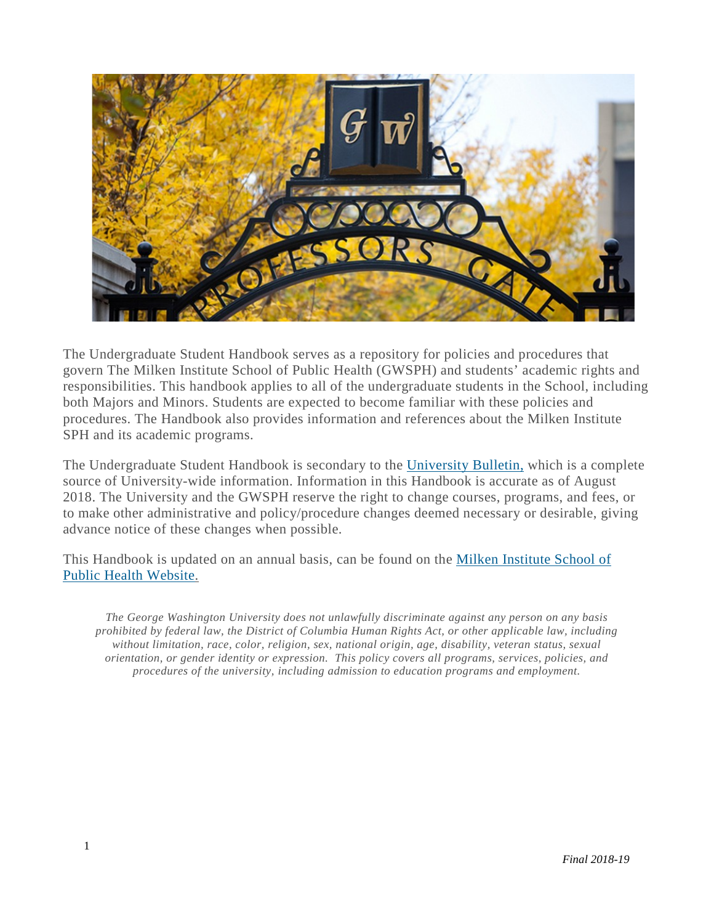

The Undergraduate Student Handbook serves as a repository for policies and procedures that govern The Milken Institute School of Public Health (GWSPH) and students' academic rights and responsibilities. This handbook applies to all of the undergraduate students in the School, including both Majors and Minors. Students are expected to become familiar with these policies and procedures. The Handbook also provides information and references about the Milken Institute SPH and its academic programs.

The Undergraduate Student Handbook is secondary to the [University](http://bulletin.gwu.edu/) Bulletin, which is a complete source of University-wide information. Information in this Handbook is accurate as of August 2018. The University and the GWSPH reserve the right to change courses, programs, and fees, or to make other administrative and policy/procedure changes deemed necessary or desirable, giving advance notice of these changes when possible.

This Handbook is updated on an annual basis, can be found on the Milken [Institute](http://publichealth.gwu.edu/) School of Public Health [Website.](http://publichealth.gwu.edu/)

*The George Washington University does not unlawfully discriminate against any person on any basis prohibited by federal law, the District of Columbia Human Rights Act, or other applicable law, including without limitation, race, color, religion, sex, national origin, age, disability, veteran status, sexual orientation, or gender identity or expression. This policy covers all programs, services, policies, and procedures of the university, including admission to education programs and employment.*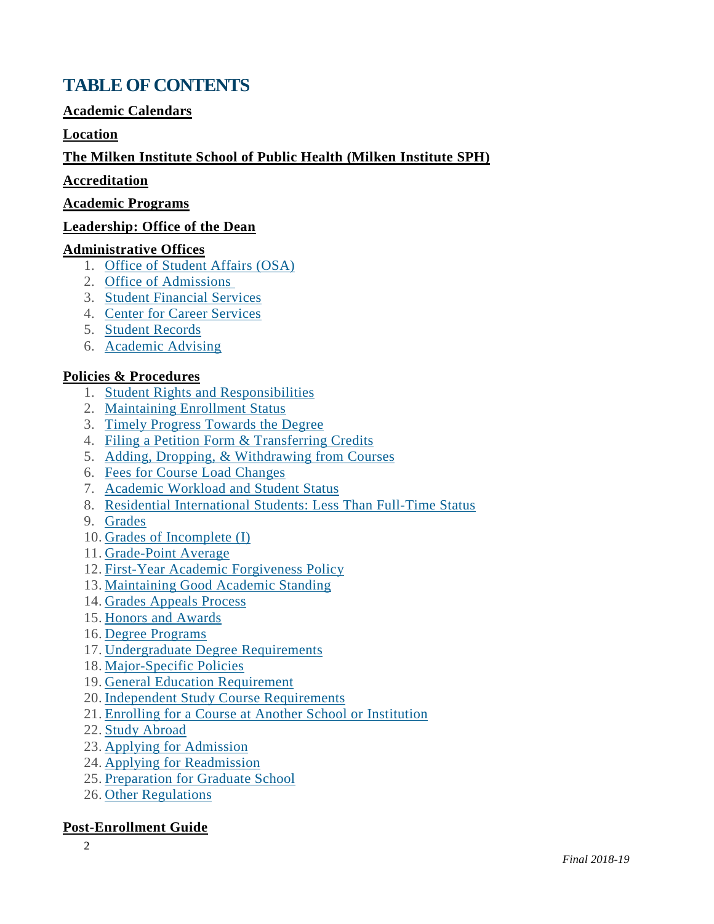### <span id="page-2-0"></span>**TABLE OF CONTENTS**

#### **Academic [Calendars](#page-4-0)**

#### **[Location](#page-4-1)**

#### **The Milken [Institute](#page-4-2) School of Public Health (Milken Institute SPH)**

#### **[Accreditation](#page-5-0)**

#### **Academic Programs**

#### **[Leadership:](#page-5-1) Office of the Dean**

#### **[Administrative](#page-7-0) Offices**

- 1. Office of [Student](#page-7-1) Affairs (OSA)
- 2. Office of [Admissions](#page-7-2)
- 3. Student [Financial](#page-8-0) Services
- 4. Center for Career [Services](#page-9-0)
- 5. Student [Records](#page-9-1)
- 6. [Academic](#page-10-0) Advising

#### **Policies & [Procedures](#page-11-0)**

- 1. Student Rights and [Responsibilities](#page-11-1)
- 2. [Maintaining](#page-11-2) Enrollment Status
- 3. Timely Progress [Towards](#page-12-0) the Degree
- 4. Filing a Petition Form & [Transferring](#page-12-1) Credits
- 5. Adding, Dropping, & [Withdrawing](#page-14-0) from Courses
- 6. Fees for Course Load [Changes](#page-15-0)
- 7. [Academic](#page-17-0) Workload and Student Status
- 8. Residential [International](#page-17-1) Students: Less Than Full-Time Status
- 9. [Grades](#page-17-2)
- 10. Grades of [Incomplete](#page-18-0) (I)
- 11. [Grade-Point](#page-18-1) Average
- 12. First-Year Academic [Forgiveness](#page-18-2) Policy
- 13. [Maintaining](#page-19-0) Good Academic Standing
- 14. Grades [Appeals](#page-19-1) Process
- 15. Honors and [Awards](#page-20-0)
- 16. Degree [Programs](#page-21-0)
- 17. [Undergraduate](#page-22-0) Degree Requirements
- 18. [Major-Specific](#page-22-1) Policies
- 19. General Education [Requirement](#page-26-0)
- 20. Independent Study Course [Requirements](#page-26-1)
- 21. Enrolling for a Course at Another School or [Institution](#page-26-2)
- 22. Study [Abroad](#page-26-3)
- 23. Applying for [Admission](#page-27-0)
- 24. Applying for [Readmission](#page-29-0)
- 25. [Preparation](#page-29-1) for Graduate School
- 26. Other [Regulations](#page-29-2)

#### **[Post-Enrollment](#page-30-0) Guide**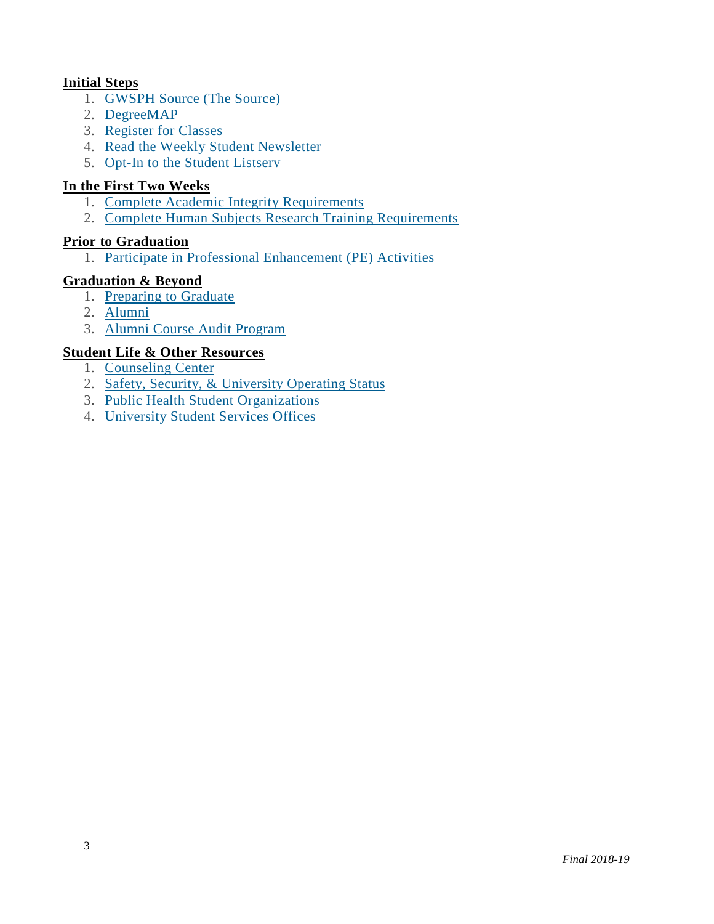#### **[Initial](#page-30-1) Steps**

- 1. [GWSPH](#page-30-2) Source (The Source)
- 2. [DegreeMAP](https://publichealth.gwu.edu/content/undergraduate-student-handbook#DegreeMap)
- 3. [Register](#page-30-3) for Classes
- 4. Read the Weekly Student [Newsletter](#page-31-0)
- 5. Opt-In to the Student [Listserv](#page-31-1)

#### **In the First Two [Weeks](#page-31-2)**

- 1. Complete Academic Integrity [Requirements](#page-31-3)
- 2. Complete Human Subjects Research Training [Requirements](#page-31-4)

#### **Prior to [Graduation](#page-32-0)**

1. Participate in Professional [Enhancement](#page-34-0) (PE) Activities

#### **[Graduation](#page-32-1) & Beyond**

- 1. [Preparing](#page-33-0) to Graduate
- 2. [Alumni](#page-33-1)
- 3. Alumni Course Audit [Program](#page-34-1)

#### **Student Life & Other [Resources](#page-34-2)**

- 1. [Counseling](#page-34-3) Center
- 2. Safety, Security, & [University](#page-34-4) Operating Status
- 3. Public Health Student [Organizations](#page-34-0)
- 4. [University](#page-35-0) Student Services Offices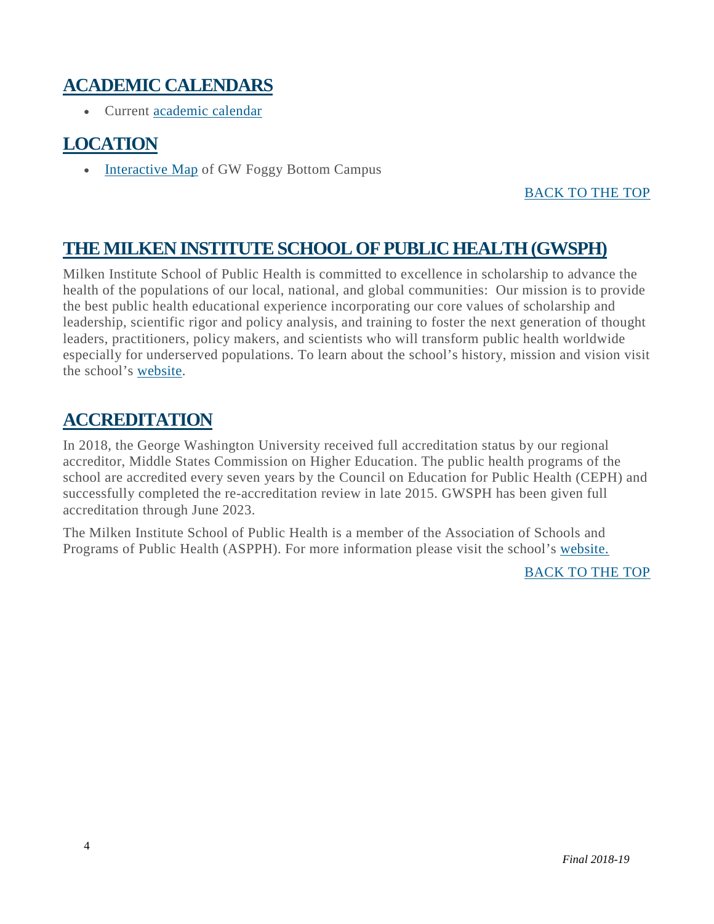### <span id="page-4-0"></span>**ACADEMIC CALENDARS**

• Current [academic](http://www.gwu.edu/academic-calendar) calendar

### <span id="page-4-1"></span>**LOCATION**

• [Interactive](http://virtualtour.gwu.edu/#!UMAP_2013090592962) Map of GW Foggy Bottom Campus

#### [BACK](#page-2-0) TO THE TOP

### <span id="page-4-2"></span>**THE MILKEN INSTITUTESCHOOL OF PUBLIC HEALTH(GWSPH)**

Milken Institute School of Public Health is committed to excellence in scholarship to advance the health of the populations of our local, national, and global communities: Our mission is to provide the best public health educational experience incorporating our core values of scholarship and leadership, scientific rigor and policy analysis, and training to foster the next generation of thought leaders, practitioners, policy makers, and scientists who will transform public health worldwide especially for underserved populations. To learn about the school's history, mission and vision visit the school's [website.](http://publichealth.gwu.edu/)

### **ACCREDITATION**

In 2018, the George Washington University received full accreditation status by our regional accreditor, Middle States Commission on Higher Education. The public health programs of the school are accredited every seven years by the Council on Education for Public Health (CEPH) and successfully completed the re-accreditation review in late 2015. GWSPH has been given full accreditation through June 2023.

The Milken Institute School of Public Health is a member of the Association of Schools and Programs of Public Health (ASPPH). For more information please visit the school's [website.](http://publichealth.gwu.edu/)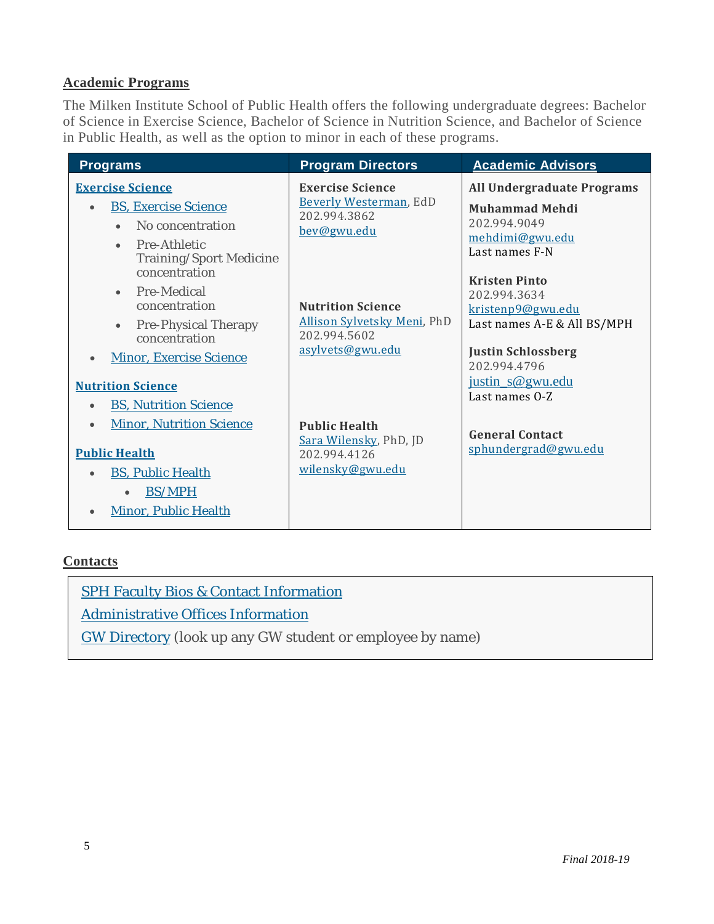#### **Academic Programs**

The Milken Institute School of Public Health offers the following undergraduate degrees: Bachelor of Science in Exercise Science, Bachelor of Science in Nutrition Science, and Bachelor of Science in Public Health, as well as the option to minor in each of these programs.

| <b>Programs</b>                                                                                                                                                                                                           | <b>Program Directors</b>                                                                    | <b>Academic Advisors</b>                                                                                                                                  |
|---------------------------------------------------------------------------------------------------------------------------------------------------------------------------------------------------------------------------|---------------------------------------------------------------------------------------------|-----------------------------------------------------------------------------------------------------------------------------------------------------------|
| <b>Exercise Science</b><br><b>BS, Exercise Science</b><br>No concentration<br>$\bullet$<br>Pre-Athletic<br>$\bullet$<br>Training/Sport Medicine                                                                           | <b>Exercise Science</b><br>Beverly Westerman, EdD<br>202.994.3862<br>bev@gwu.edu            | <b>All Undergraduate Programs</b><br>Muhammad Mehdi<br>202.994.9049<br>mehdimi@gwu.edu<br>Last names F-N                                                  |
| concentration<br>Pre-Medical<br>$\bullet$<br>concentration<br><b>Pre-Physical Therapy</b><br>$\bullet$<br>concentration<br><b>Minor, Exercise Science</b><br>$\bullet$                                                    | <b>Nutrition Science</b><br>Allison Sylvetsky Meni, PhD<br>202.994.5602<br>asylvets@gwu.edu | <b>Kristen Pinto</b><br>202.994.3634<br>kristenp9@gwu.edu<br>Last names A-E & All BS/MPH<br><b>Justin Schlossberg</b><br>202.994.4796<br>justin s@gwu.edu |
| <b>Nutrition Science</b><br><b>BS, Nutrition Science</b><br>$\bullet$<br><b>Minor, Nutrition Science</b><br>$\bullet$<br><b>Public Health</b><br><b>BS, Public Health</b><br><b>BS/MPH</b><br><b>Minor, Public Health</b> | <b>Public Health</b><br>Sara Wilensky, PhD, JD<br>202.994.4126<br>wilensky@gwu.edu          | Last names 0-Z<br><b>General Contact</b><br>sphundergrad@gwu.edu                                                                                          |

#### **Contacts**

SPH Faculty Bios & Contact [Information](http://publichealth.gwu.edu/content/faculty-directory)

[Administrative](http://publichealth.gwu.edu/about/administrative-offices) Offices Information

<span id="page-5-1"></span><span id="page-5-0"></span>GW [Directory](http://my.gwu.edu/) (look up any GW student or employee by name)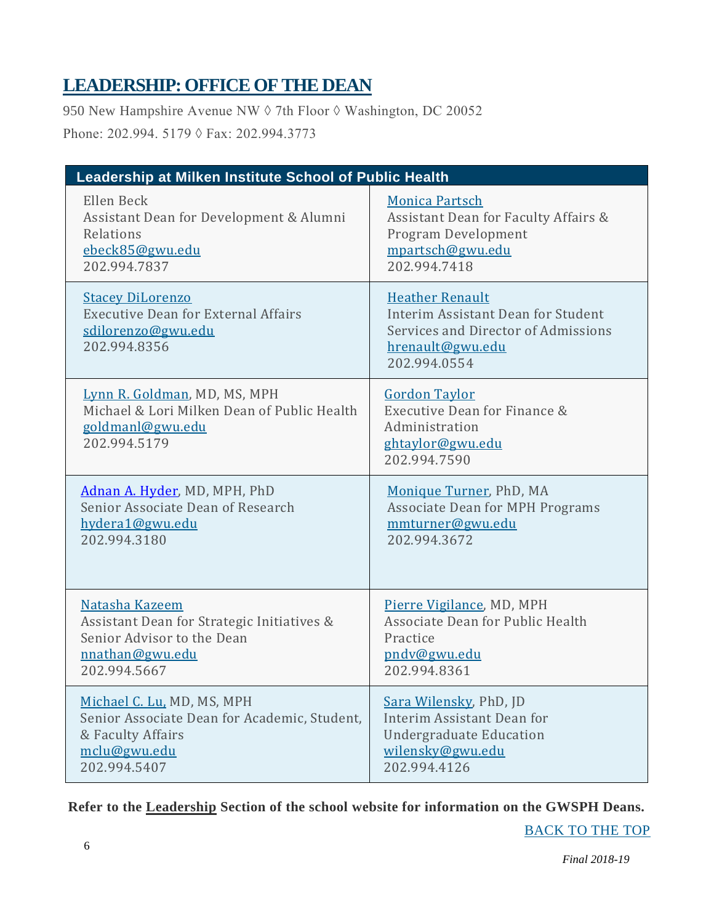### **LEADERSHIP:OFFICE OFTHE DEAN**

950 New Hampshire Avenue NW ♦ 7th Floor ♦ Washington, DC 20052 Phone: 202.994. 5179 ◊ Fax: 202.994.3773

| Leadership at Milken Institute School of Public Health                                                          |                                                                                                                                         |  |  |  |
|-----------------------------------------------------------------------------------------------------------------|-----------------------------------------------------------------------------------------------------------------------------------------|--|--|--|
| Ellen Beck                                                                                                      | <b>Monica Partsch</b>                                                                                                                   |  |  |  |
| Assistant Dean for Development & Alumni                                                                         | Assistant Dean for Faculty Affairs &                                                                                                    |  |  |  |
| Relations                                                                                                       | Program Development                                                                                                                     |  |  |  |
| ebeck85@gwu.edu                                                                                                 | mpartsch@gwu.edu                                                                                                                        |  |  |  |
| 202.994.7837                                                                                                    | 202.994.7418                                                                                                                            |  |  |  |
| <b>Stacey DiLorenzo</b><br><b>Executive Dean for External Affairs</b><br>sdilorenzo@gwu.edu<br>202.994.8356     | <b>Heather Renault</b><br>Interim Assistant Dean for Student<br>Services and Director of Admissions<br>hrenault@gwu.edu<br>202.994.0554 |  |  |  |
| Lynn R. Goldman, MD, MS, MPH<br>Michael & Lori Milken Dean of Public Health<br>goldmanl@gwu.edu<br>202.994.5179 | <b>Gordon Taylor</b><br>Executive Dean for Finance &<br>Administration<br>ghtaylor@gwu.edu<br>202.994.7590                              |  |  |  |
| Adnan A. Hyder, MD, MPH, PhD                                                                                    | Monique Turner, PhD, MA                                                                                                                 |  |  |  |
| Senior Associate Dean of Research                                                                               | Associate Dean for MPH Programs                                                                                                         |  |  |  |
| hydera1@gwu.edu                                                                                                 | mmturner@gwu.edu                                                                                                                        |  |  |  |
| 202.994.3180                                                                                                    | 202.994.3672                                                                                                                            |  |  |  |
| Natasha Kazeem                                                                                                  | Pierre Vigilance, MD, MPH                                                                                                               |  |  |  |
| Assistant Dean for Strategic Initiatives &                                                                      | Associate Dean for Public Health                                                                                                        |  |  |  |
| Senior Advisor to the Dean                                                                                      | Practice                                                                                                                                |  |  |  |
| nnathan@gwu.edu                                                                                                 | pndv@gwu.edu                                                                                                                            |  |  |  |
| 202.994.5667                                                                                                    | 202.994.8361                                                                                                                            |  |  |  |
| Michael C. Lu, MD, MS, MPH                                                                                      | Sara Wilensky, PhD, JD                                                                                                                  |  |  |  |
| Senior Associate Dean for Academic, Student,                                                                    | Interim Assistant Dean for                                                                                                              |  |  |  |
| & Faculty Affairs                                                                                               | <b>Undergraduate Education</b>                                                                                                          |  |  |  |
| mclu@gwu.edu                                                                                                    | wilensky@gwu.edu                                                                                                                        |  |  |  |
| 202.994.5407                                                                                                    | 202.994.4126                                                                                                                            |  |  |  |

**Refer to the [Leadership](http://publichealth.gwu.edu/about/milken-institute-sph) Section of the school website for information on the GWSPH Deans.**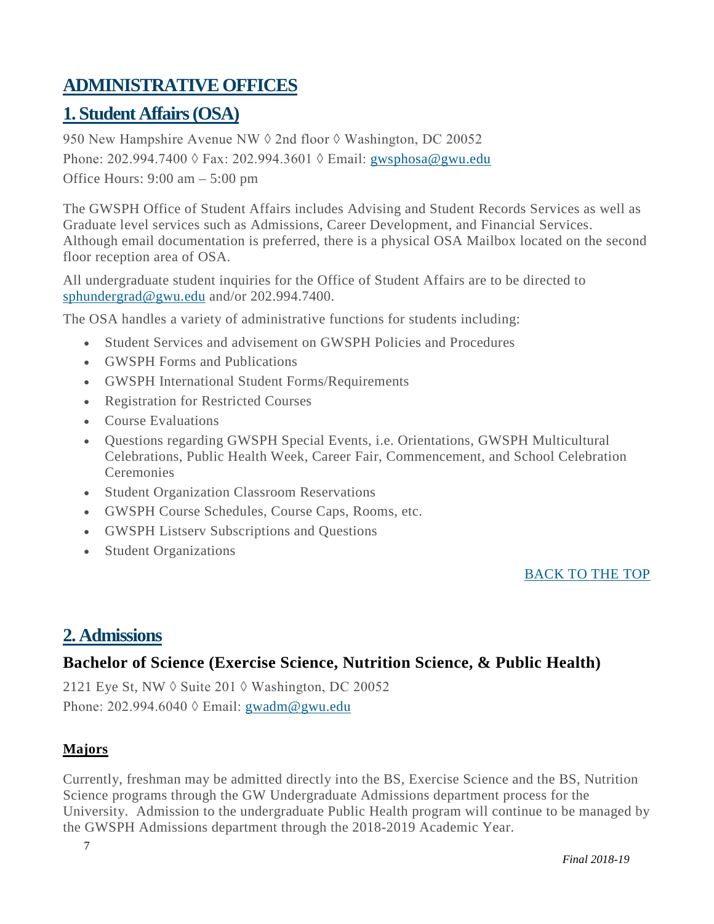### <span id="page-7-0"></span>**ADMINISTRATIVE OFFICES**

### <span id="page-7-1"></span>**1. Student Affairs(OSA)**

950 New Hampshire Avenue NW  $\Diamond$  2nd floor  $\Diamond$  Washington, DC 20052 Phone: 202.994.7400 ◊ Fax: 202.994.3601 ◊ Email: gwsphosa@gwu.edu Office Hours: 9:00 am – 5:00 pm

The GWSPH Office of Student Affairs includes Advising and Student Records Services as well as Graduate level services such as Admissions, Career Development, and Financial Services. Although email documentation is preferred, there is a physical OSA Mailbox located on the second floor reception area of OSA.

All undergraduate student inquiries for the Office of Student Affairs are to be directed to [sphundergrad@gwu.edu](mailto:sphundergrad@gwu.edu) and/or 202.994.7400.

The OSA handles a variety of administrative functions for students including:

- Student Services and advisement on GWSPH Policies and Procedures
- GWSPH Forms and Publications
- GWSPH International Student Forms/Requirements
- Registration for Restricted Courses
- Course Evaluations
- Questions regarding GWSPH Special Events, i.e. Orientations, GWSPH Multicultural Celebrations, Public Health Week, Career Fair, Commencement, and School Celebration **Ceremonies**
- Student Organization Classroom Reservations
- GWSPH Course Schedules, Course Caps, Rooms, etc.
- GWSPH Listserv Subscriptions and Questions
- Student Organizations

#### <span id="page-7-2"></span>[BACK](#page-2-0) TO THE TOP

### **2. Admissions**

#### **Bachelor of Science (Exercise Science, Nutrition Science, & Public Health)**

2121 Eye St, NW ◊ Suite 201 ◊ Washington, DC 20052 Phone: 202.994.6040  $\Diamond$  Email: [gwadm@gwu.edu](mailto:gwadm@gwu.edu)

#### **Majors**

Currently, freshman may be admitted directly into the BS, Exercise Science and the BS, Nutrition Science programs through the GW Undergraduate Admissions department process for the University. Admission to the undergraduate Public Health program will continue to be managed by the GWSPH Admissions department through the 2018-2019 Academic Year.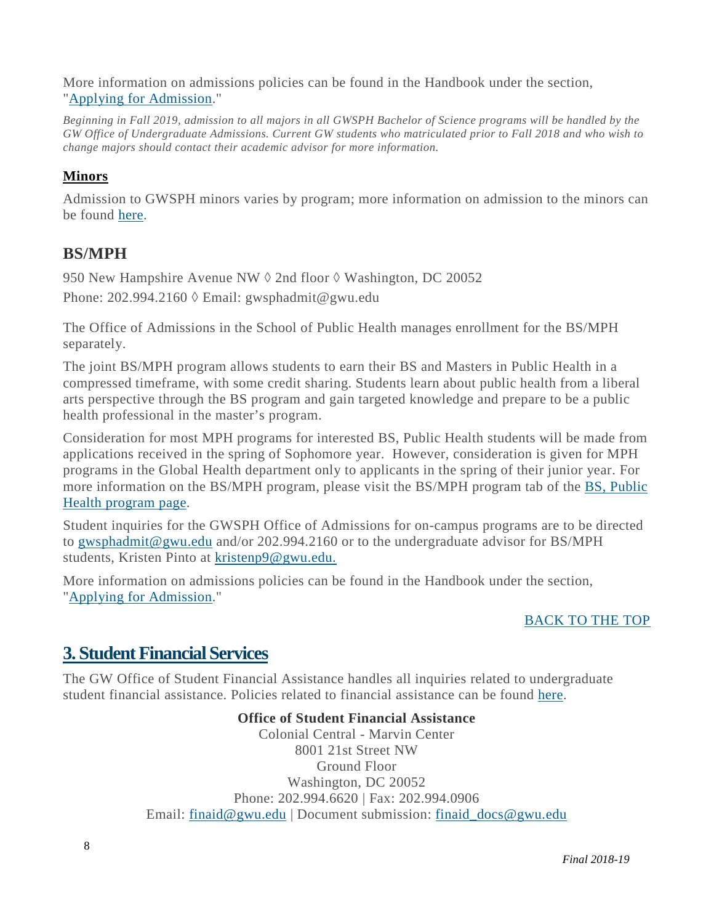More information on admissions policies can be found in the Handbook under the section, "Applying for [Admission.](https://publichealth.gwu.edu/content/undergraduate-student-handbook#_TOC_Applying%20for%20Admission)"

*Beginning in Fall 2019, admission to all majors in all GWSPH Bachelor of Science programs will be handled by the GW Office of Undergraduate Admissions. Current GW students who matriculated prior to Fall 2018 and who wish to change majors should contact their academic advisor for more information.*

#### **Minors**

Admission to GWSPH minors varies by program; more information on admission to the minors can be found [here.](https://publichealth.gwu.edu/programs/undergraduate-minors)

#### **BS/MPH**

950 New Hampshire Avenue NW ♦ 2nd floor ♦ Washington, DC 20052 Phone:  $202.994.2160 \lozenge$  Email: gwsphadmit@gwu.edu

The Office of Admissions in the School of Public Health manages enrollment for the BS/MPH separately.

The joint BS/MPH program allows students to earn their BS and Masters in Public Health in a compressed timeframe, with some credit sharing. Students learn about public health from a liberal arts perspective through the BS program and gain targeted knowledge and prepare to be a public health professional in the master's program.

Consideration for most MPH programs for interested BS, Public Health students will be made from applications received in the spring of Sophomore year. However, consideration is given for MPH programs in the Global Health department only to applicants in the spring of their junior year. For more information on the BS/MPH program, please visit the BS/MPH program tab of the BS, [Public](https://publichealth.gwu.edu/programs/public-health-bs) Health [program](https://publichealth.gwu.edu/programs/public-health-bs) page.

Student inquiries for the GWSPH Office of Admissions for on-campus programs are to be directed to [gwsphadmit@gwu.edu](mailto:gwsphadmit@gwu.edu) and/or 202.994.2160 or to the undergraduate advisor for BS/MPH students, Kristen Pinto at [kristenp9@gwu.edu.](mailto:kristenp9@gwu.edu)

More information on admissions policies can be found in the Handbook under the section, "Applying for [Admission.](https://publichealth.gwu.edu/content/undergraduate-student-handbook#_TOC_Applying%20for%20Admission)"

#### <span id="page-8-0"></span>[BACK](#page-2-0) TO THE TOP

### **3. Student Financial Services**

The GW Office of Student Financial Assistance handles all inquiries related to undergraduate student financial assistance. Policies related to financial assistance can be found [here.](https://financialaid.gwu.edu/policies)

#### **Office of Student Financial Assistance**

Colonial Central - Marvin Center 8001 21st Street NW Ground Floor Washington, DC 20052 Phone: 202.994.6620 | Fax: 202.994.0906 Email: [finaid@gwu.edu](mailto:finaid@gwu.edu) | Document submission: [finaid\\_docs@gwu.edu](mailto:finaid_docs@gwu.edu)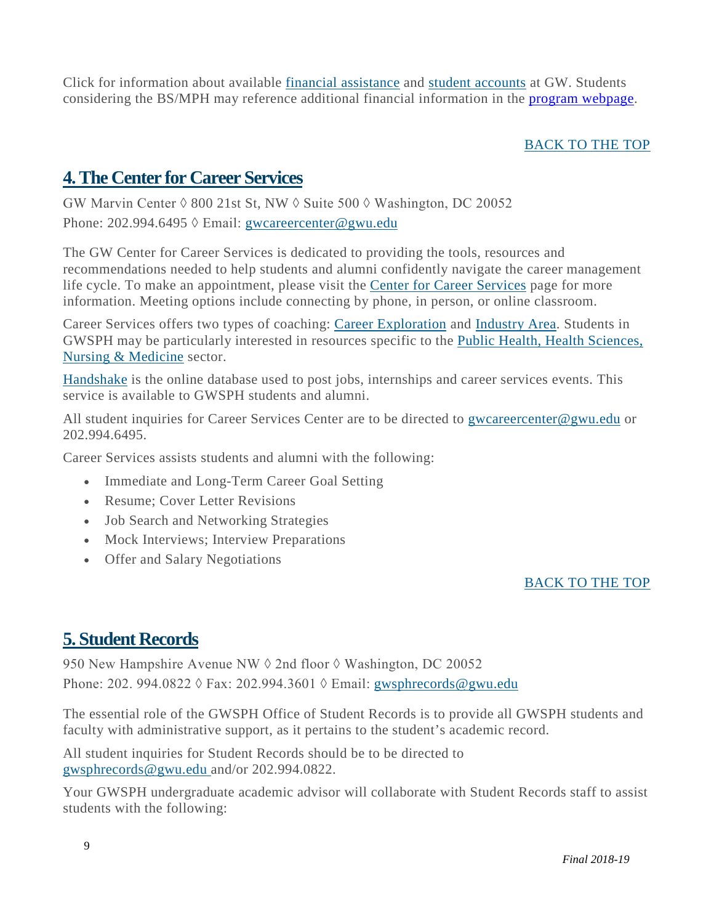Click for information about available financial [assistance](https://financialaid.gwu.edu/) and student [accounts](http://studentaccounts.gwu.edu/) at GW. Students considering the BS/MPH may reference additional financial information in the [program webpage.](https://publichealth.gwu.edu/programs/public-health-bs)

#### [BACK](#page-2-0) TO THE TOP

### <span id="page-9-0"></span>**4.The Center for Career Services**

GW Marvin Center  $\Diamond$  800 21st St, NW  $\Diamond$  Suite 500  $\Diamond$  Washington, DC 20052 Phone: 202.994.6495 ◊ Email: [gwcareercenter@gwu.edu](mailto:gwcareercenter@gwu.edu)

The GW Center for Career Services is dedicated to providing the tools, resources and recommendations needed to help students and alumni confidently navigate the career management life cycle. To make an appointment, please visit the [Ce](http://publichealth.gwu.edu/services/career-center/counseling)nter for Career [Services](http://publichealth.gwu.edu/services/career-center/counseling) page for more information. Meeting options include connecting by phone, in person, or online classroom.

Career Services offers two types of coaching: Career [Exploration](https://careerservices.gwu.edu/career-exploration-assessment) and [Industry](https://careerservices.gwu.edu/industry-career-coaching) Area. Students in GWSPH may be particularly interested in resources specific to the Public Health, Health [Sciences,](https://careerservices.gwu.edu/public-health-health-sciences-nursing-medicine-0) Nursing & [Medicine](https://careerservices.gwu.edu/public-health-health-sciences-nursing-medicine-0) sector.

[Handshake](https://gwu.joinhandshake.com/) is the online database used to post jobs, internships and career services events. This service is available to GWSPH students and alumni.

All student inquiries for Career Services Center are to be directed to [gwcareercenter@gwu.edu](mailto:gwcareercenter@gwu.edu) or 202.994.6495.

Career Services assists students and alumni with the following:

- Immediate and Long-Term Career Goal Setting
- Resume: Cover Letter Revisions
- Job Search and Networking Strategies
- Mock Interviews; Interview Preparations
- Offer and Salary Negotiations

#### [BACK](#page-2-0) TO THE TOP

### <span id="page-9-1"></span>**5. Student Records**

950 New Hampshire Avenue NW ♦ 2nd floor ♦ Washington, DC 20052 Phone: 202. 994.0822 ◊ Fax: 202.994.3601 ◊ Email: [gwsphrecords@gwu.edu](mailto:gwsphrecords@gwu.edu)

The essential role of the GWSPH Office of Student Records is to provide all GWSPH students and faculty with administrative support, as it pertains to the student's academic record.

All student inquiries for Student Records should be to be directed to [gwsphrecords@gwu.edu](mailto:gwsphrecords@gwu.edu) and/or 202.994.0822.

Your GWSPH undergraduate academic advisor will collaborate with Student Records staff to assist students with the following: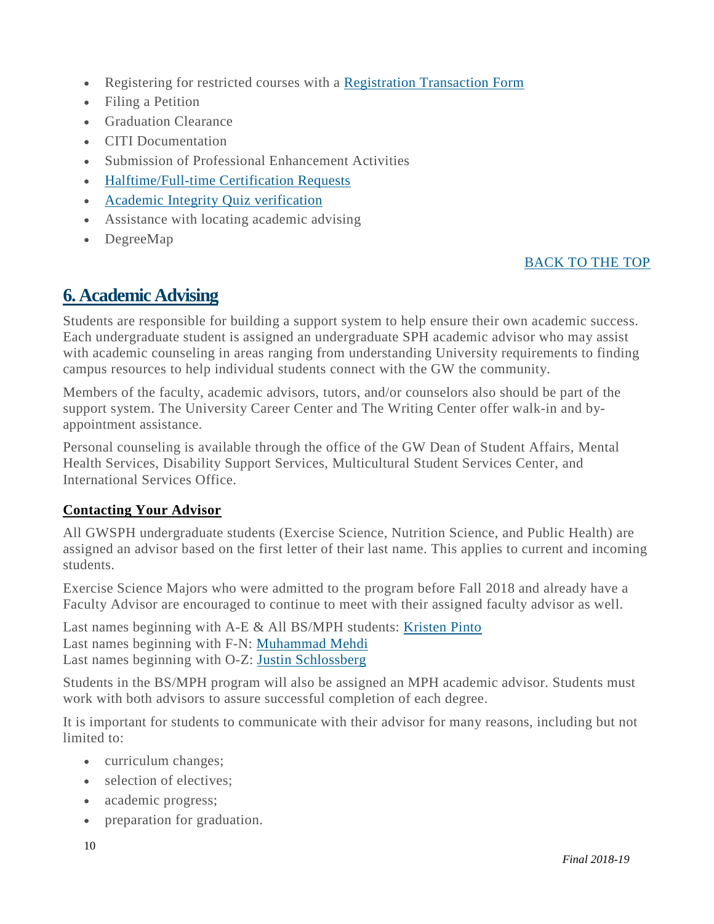- Registering for restricted courses with a [Registration](http://registrar.gwu.edu/registration-forms) Transaction Form
- Filing a Petition
- Graduation Clearance
- CITI Documentation
- Submission of Professional Enhancement Activities
- [Halftime/Full-time](http://business.gwu.edu/wp-content/uploads/2014/07/MSPM-Half-Time-Full-Time-certification-form-instructions.pdf) Certification Requests
- Academic Integrity Quiz [verification](http://publichealth.gwu.edu/integrity-quiz)
- Assistance with locating academic advising
- DegreeMap

#### [BACK](#page-2-0) TO THE TOP

### <span id="page-10-0"></span>**6. Academic Advising**

Students are responsible for building a support system to help ensure their own academic success. Each undergraduate student is assigned an undergraduate SPH academic advisor who may assist with academic counseling in areas ranging from understanding University requirements to finding campus resources to help individual students connect with the GW the community.

Members of the faculty, academic advisors, tutors, and/or counselors also should be part of the support system. The University Career Center and The Writing Center offer walk-in and byappointment assistance.

Personal counseling is available through the office of the GW Dean of Student Affairs, Mental Health Services, Disability Support Services, Multicultural Student Services Center, and International Services Office.

#### **Contacting Your Advisor**

All GWSPH undergraduate students (Exercise Science, Nutrition Science, and Public Health) are assigned an advisor based on the first letter of their last name. This applies to current and incoming students.

Exercise Science Majors who were admitted to the program before Fall 2018 and already have a Faculty Advisor are encouraged to continue to meet with their assigned faculty advisor as well.

Last names beginning with A-E & All BS/MPH students: [Kristen](mailto:kristenp9@gwu.edu) Pinto Last names beginning with F-N: [Muhammad Mehdi](mailto:mehdimi@gwu.edu) Last names beginning with O-Z: [Justin Schlossberg](mailto:justin_s@gwu.edu)

Students in the BS/MPH program will also be assigned an MPH academic advisor. Students must work with both advisors to assure successful completion of each degree.

It is important for students to communicate with their advisor for many reasons, including but not limited to:

- curriculum changes;
- selection of electives:
- academic progress;
- preparation for graduation.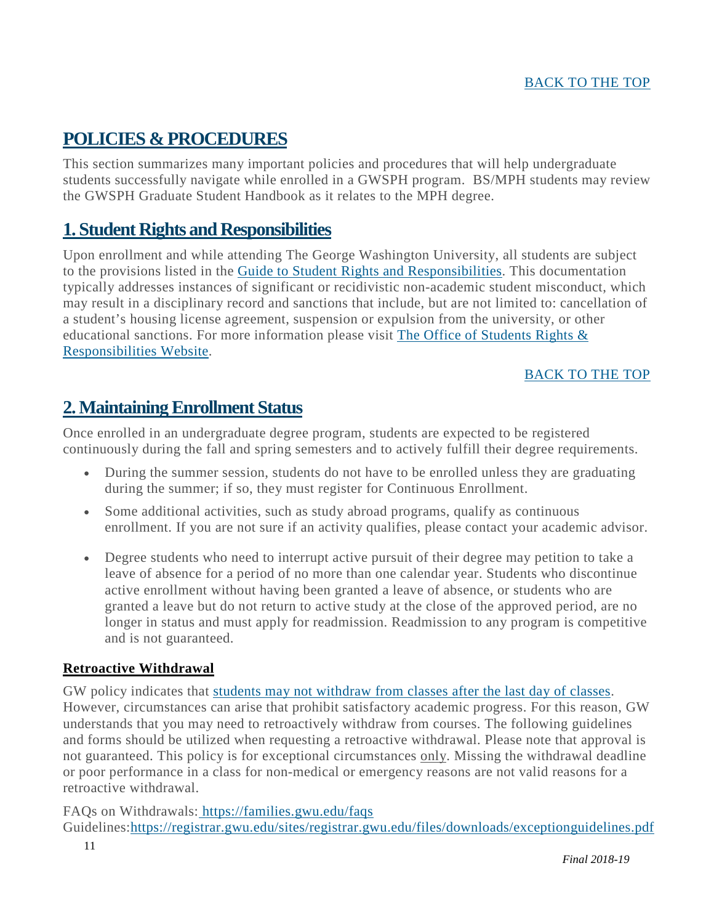### <span id="page-11-0"></span>**POLICIES & PROCEDURES**

This section summarizes many important policies and procedures that will help undergraduate students successfully navigate while enrolled in a GWSPH program. BS/MPH students may review the GWSPH Graduate Student Handbook as it relates to the MPH degree.

### <span id="page-11-1"></span>**1. Student Rights and Responsibilities**

Upon enrollment and while attending The George Washington University, all students are subject to the provisions listed in the Guide to Student Rights and [Responsibilities.](http://studentconduct.gwu.edu/guide-student-rights-responsibilities) This documentation typically addresses instances of significant or recidivistic non-academic student misconduct, which may result in a disciplinary record and sanctions that include, but are not limited to: cancellation of a student's housing license agreement, suspension or expulsion from the university, or other educational sanctions. For more information please visit The Office of [Students](http://studentconduct.gwu.edu/student-rights-responsibilities) Rights & [Responsibilities](http://studentconduct.gwu.edu/student-rights-responsibilities) Website.

#### [BACK](#page-2-0) TO THE TOP

### <span id="page-11-2"></span>**2.MaintainingEnrollment Status**

Once enrolled in an undergraduate degree program, students are expected to be registered continuously during the fall and spring semesters and to actively fulfill their degree requirements.

- During the summer session, students do not have to be enrolled unless they are graduating during the summer; if so, they must register for Continuous Enrollment.
- Some additional activities, such as study abroad programs, qualify as continuous enrollment. If you are not sure if an activity qualifies, please contact your academic advisor.
- Degree students who need to interrupt active pursuit of their degree may petition to take a leave of absence for a period of no more than one calendar year. Students who discontinue active enrollment without having been granted a leave of absence, or students who are granted a leave but do not return to active study at the close of the approved period, are no longer in status and must apply for readmission. Readmission to any program is competitive and is not guaranteed.

#### **Retroactive Withdrawal**

GW policy indicates that students may not [withdraw](https://registrar.gwu.edu/withdrawals-refunds#UG8th) from classes after the last day of classes. However, circumstances can arise that prohibit satisfactory academic progress. For this reason, GW understands that you may need to retroactively withdraw from courses. The following guidelines and forms should be utilized when requesting a retroactive withdrawal. Please note that approval is not guaranteed. This policy is for exceptional circumstances only. Missing the withdrawal deadline or poor performance in a class for non-medical or emergency reasons are not valid reasons for a retroactive withdrawal.

FAQs on Withdrawals: <https://families.gwu.edu/faqs> Guidelines[:https://registrar.gwu.edu/sites/registrar.gwu.edu/files/downloads/exceptionguidelines.pdf](https://registrar.gwu.edu/sites/registrar.gwu.edu/files/downloads/exceptionguidelines.pdf)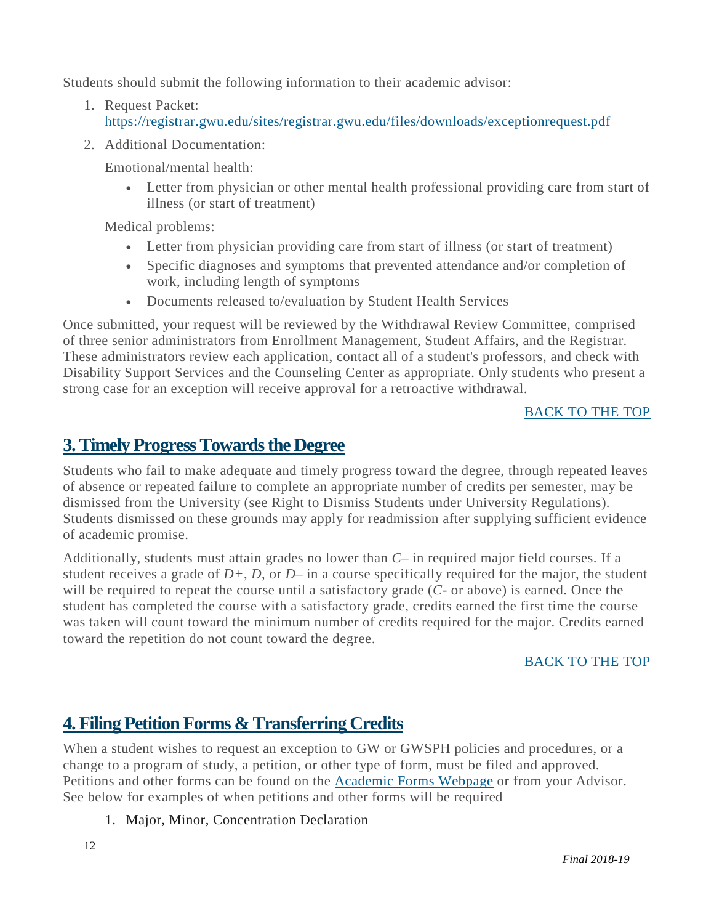Students should submit the following information to their academic advisor:

- 1. Request Packet: <https://registrar.gwu.edu/sites/registrar.gwu.edu/files/downloads/exceptionrequest.pdf>
- 2. Additional Documentation:

Emotional/mental health:

• Letter from physician or other mental health professional providing care from start of illness (or start of treatment)

Medical problems:

- Letter from physician providing care from start of illness (or start of treatment)
- Specific diagnoses and symptoms that prevented attendance and/or completion of work, including length of symptoms
- Documents released to/evaluation by Student Health Services

Once submitted, your request will be reviewed by the Withdrawal Review Committee, comprised of three senior administrators from Enrollment Management, Student Affairs, and the Registrar. These administrators review each application, contact all of a student's professors, and check with Disability Support Services and the Counseling Center as appropriate. Only students who present a strong case for an exception will receive approval for a retroactive withdrawal.

#### [BACK](#page-2-0) TO THE TOP

### <span id="page-12-0"></span>**3.Timely ProgressTowardsthe Degree**

Students who fail to make adequate and timely progress toward the degree, through repeated leaves of absence or repeated failure to complete an appropriate number of credits per semester, may be dismissed from the University (see Right to Dismiss Students under University Regulations). Students dismissed on these grounds may apply for readmission after supplying sufficient evidence of academic promise.

Additionally, students must attain grades no lower than *C–* in required major field courses. If a student receives a grade of *D+*, *D*, or *D–* in a course specifically required for the major, the student will be required to repeat the course until a satisfactory grade (*C-* or above) is earned. Once the student has completed the course with a satisfactory grade, credits earned the first time the course was taken will count toward the minimum number of credits required for the major. Credits earned toward the repetition do not count toward the degree.

#### [BACK](#page-2-0) TO THE TOP

### <span id="page-12-1"></span>**4. Filing Petition Forms & Transferring Credits**

When a student wishes to request an exception to GW or GWSPH policies and procedures, or a change to a program of study, a petition, or other type of form, must be filed and approved. Petitions and other forms can be found on the [Academic](http://publichealth.gwu.edu/academics/forms) Forms Webpage or from your Advisor. See below for examples of when petitions and other forms will be required

#### 1. Major, Minor, Concentration Declaration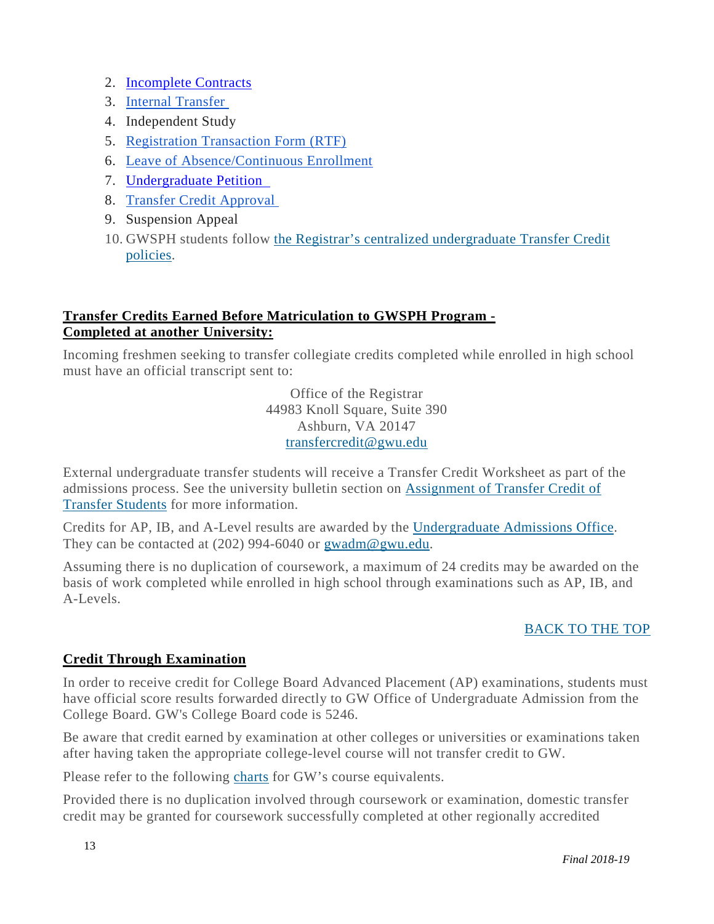- 2. [Incomplete Contracts](https://publichealth.gwu.edu/content/incomplete-course-grade-contract)
- 3. Internal [Transfer](https://business.gwu.edu/sites/g/files/zaxdzs1611/f/downloads/internal_transfer.pdf)
- 4. Independent Study
- 5. [Registration](https://registrar.gwu.edu/sites/g/files/zaxdzs2171/f/downloads/reg_transaction_form.pdf) Transaction Form (RTF)
- 6. Leave of [Absence/Continuous](https://business.gwu.edu/sites/g/files/zaxdzs1611/f/GWSB_GradProg_Forms_Leave-of-Absence-and-Continuous-Enrollment-Form_2017.10.pdf) Enrollment
- 7. [Undergraduate Petition](https://publichealth.gwu.edu/sites/default/files/images/SPH%20Undergraduate%20Petition_edit_0.pdf)
- 8. Transfer Credit [Approval](https://business.gwu.edu/sites/g/files/zaxdzs1611/f/downloads/transfercredit.pdf)
- 9. Suspension Appeal
- 10. GWSPH students follow the Registrar's centralized [undergraduate](https://registrar.gwu.edu/transfer-credit) Transfer Credit [policies.](https://registrar.gwu.edu/transfer-credit)

#### **Transfer Credits Earned Before Matriculation to GWSPH Program - Completed at another University:**

Incoming freshmen seeking to transfer collegiate credits completed while enrolled in high school must have an official transcript sent to:

> Office of the Registrar 44983 Knoll Square, Suite 390 Ashburn, VA 20147 [transfercredit@gwu.edu](mailto:transfercredit@gwu.edu)

External undergraduate transfer students will receive a Transfer Credit Worksheet as part of the admissions process. See the university bulletin section on [Assignment](http://bulletin.gwu.edu/undergraduate-admissions/) of Transfer Credit of Transfer [Students](http://bulletin.gwu.edu/undergraduate-admissions/) for more information.

Credits for AP, IB, and A-Level results are awarded by the [Undergraduate](https://undergraduate.admissions.gwu.edu/bring-credits-gw) Admissions Office. They can be contacted at (202) 994-6040 or [gwadm@gwu.edu.](mailto:gwadm@gwu.edu)

Assuming there is no duplication of coursework, a maximum of 24 credits may be awarded on the basis of work completed while enrolled in high school through examinations such as AP, IB, and A-Levels.

#### [BACK](#page-2-0) TO THE TOP

#### **Credit Through Examination**

In order to receive credit for College Board Advanced Placement (AP) examinations, students must have official score results forwarded directly to GW Office of Undergraduate Admission from the College Board. GW's College Board code is 5246.

Be aware that credit earned by examination at other colleges or universities or examinations taken after having taken the appropriate college-level course will not transfer credit to GW.

Please refer to the following [charts](http://bulletin.gwu.edu/university-regulations/ap/) for GW's course equivalents.

Provided there is no duplication involved through coursework or examination, domestic transfer credit may be granted for coursework successfully completed at other regionally accredited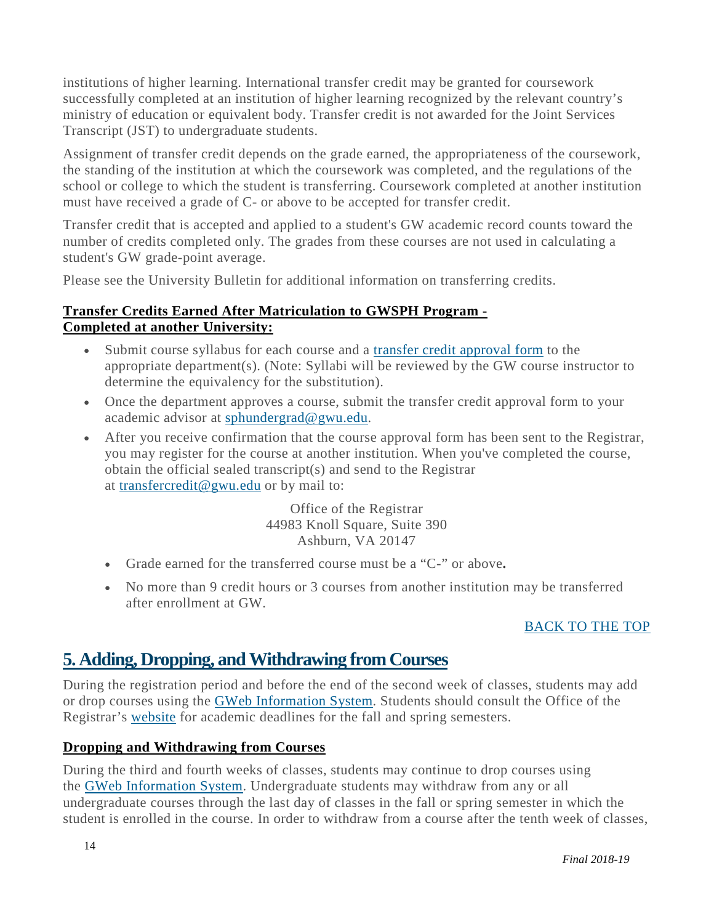institutions of higher learning. International transfer credit may be granted for coursework successfully completed at an institution of higher learning recognized by the relevant country's ministry of education or equivalent body. Transfer credit is not awarded for the Joint Services Transcript (JST) to undergraduate students.

Assignment of transfer credit depends on the grade earned, the appropriateness of the coursework, the standing of the institution at which the coursework was completed, and the regulations of the school or college to which the student is transferring. Coursework completed at another institution must have received a grade of C- or above to be accepted for transfer credit.

Transfer credit that is accepted and applied to a student's GW academic record counts toward the number of credits completed only. The grades from these courses are not used in calculating a student's GW grade-point average.

Please see the University Bulletin for additional information on transferring credits.

#### **Transfer Credits Earned After Matriculation to GWSPH Program - Completed at another University:**

- Submit course syllabus for each course and a transfer credit [approval](https://registrar.gwu.edu/sites/g/files/zaxdzs2171/f/downloads/transfercredit.pdf) form to the appropriate department(s). (Note: Syllabi will be reviewed by the GW course instructor to determine the equivalency for the substitution).
- Once the department approves a course, submit the transfer credit approval form to your academic advisor at [sphundergrad@gwu.edu.](mailto:sphundergrad@gwu.edu)
- After you receive confirmation that the course approval form has been sent to the Registrar, you may register for the course at another institution. When you've completed the course, obtain the official sealed transcript(s) and send to the Registrar at [transfercredit@gwu.edu](mailto:transfercredit@gwu.edu) or by mail to:

Office of the Registrar 44983 Knoll Square, Suite 390 Ashburn, VA 20147

- Grade earned for the transferred course must be a "C-" or above**.**
- No more than 9 credit hours or 3 courses from another institution may be transferred after enrollment at GW.

#### [BACK](#page-2-0) TO THE TOP

### <span id="page-14-0"></span>**5. Adding, Dropping, andWithdrawing from Courses**

During the registration period and before the end of the second week of classes, students may add or drop courses using the GWeb [Information](http://my.gwu.edu/) System. Students should consult the Office of the Registrar's [website](http://registrar.gwu.edu/) for academic deadlines for the fall and spring semesters.

#### **Dropping and Withdrawing from Courses**

During the third and fourth weeks of classes, students may continue to drop courses using the GWeb [Information](http://my.gwu.edu/) System. Undergraduate students may withdraw from any or all undergraduate courses through the last day of classes in the fall or spring semester in which the student is enrolled in the course. In order to withdraw from a course after the tenth week of classes,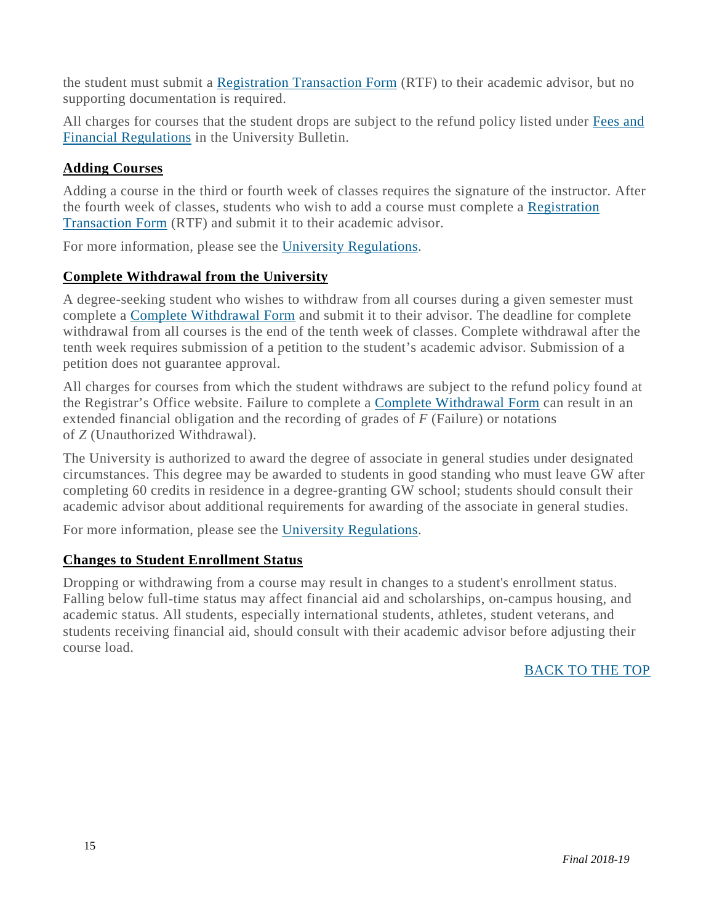the student must submit a [Registration](https://registrar.gwu.edu/sites/registrar.gwu.edu/files/downloads/reg_transaction_form.pdf) Transaction Form (RTF) to their academic advisor, but no supporting documentation is required.

All charges for courses that the student drops are subject to the refund policy listed under [Fees](http://bulletin.gwu.edu/fees-financial-regulations/) and Financial [Regulations](http://bulletin.gwu.edu/fees-financial-regulations/) in the University Bulletin.

#### **Adding Courses**

Adding a course in the third or fourth week of classes requires the signature of the instructor. After the fourth week of classes, students who wish to add a course must complete a [Registration](https://registrar.gwu.edu/sites/registrar.gwu.edu/files/downloads/reg_transaction_form.pdf) [Transaction](https://registrar.gwu.edu/sites/registrar.gwu.edu/files/downloads/reg_transaction_form.pdf) Form (RTF) and submit it to their academic advisor.

For more information, please see the University [Regulations.](http://bulletin.gwu.edu/university-regulations/#adding)

#### **Complete Withdrawal from the University**

A degree-seeking student who wishes to withdraw from all courses during a given semester must complete a Complete [Withdrawal](https://registrar.gwu.edu/sites/registrar.gwu.edu/files/downloads/completewithdrawal.pdf) Form and submit it to their advisor. The deadline for complete withdrawal from all courses is the end of the tenth week of classes. Complete withdrawal after the tenth week requires submission of a petition to the student's academic advisor. Submission of a petition does not guarantee approval.

All charges for courses from which the student withdraws are subject to the refund policy found at the Registrar's Office website. Failure to complete a Complete [Withdrawal](https://registrar.gwu.edu/sites/registrar.gwu.edu/files/downloads/completewithdrawal.pdf) Form can result in an extended financial obligation and the recording of grades of *F* (Failure) or notations of *Z* (Unauthorized Withdrawal).

The University is authorized to award the degree of associate in general studies under designated circumstances. This degree may be awarded to students in good standing who must leave GW after completing 60 credits in residence in a degree-granting GW school; students should consult their academic advisor about additional requirements for awarding of the associate in general studies.

For more information, please see the University [Regulations.](http://bulletin.gwu.edu/university-regulations/#Withdrawal)

#### **Changes to Student Enrollment Status**

<span id="page-15-0"></span>Dropping or withdrawing from a course may result in changes to a student's enrollment status. Falling below full-time status may affect financial aid and scholarships, on-campus housing, and academic status. All students, especially international students, athletes, student veterans, and students receiving financial aid, should consult with their academic advisor before adjusting their course load.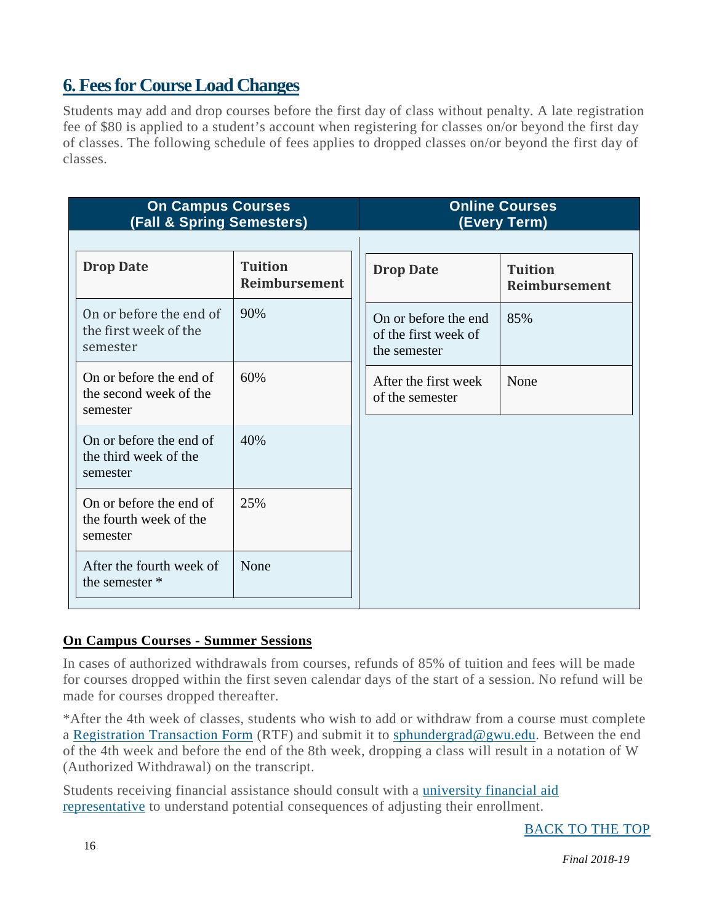### **6. Feesfor CourseLoad Changes**

Students may add and drop courses before the first day of class without penalty. A late registration fee of \$80 is applied to a student's account when registering for classes on/or beyond the first day of classes. The following schedule of fees applies to dropped classes on/or beyond the first day of classes.

| <b>On Campus Courses</b><br><b>(Fall &amp; Spring Semesters)</b> |                                 | <b>Online Courses</b><br>(Every Term)                        |                                 |
|------------------------------------------------------------------|---------------------------------|--------------------------------------------------------------|---------------------------------|
| <b>Drop Date</b>                                                 | <b>Tuition</b><br>Reimbursement | <b>Drop Date</b>                                             | <b>Tuition</b><br>Reimbursement |
| On or before the end of<br>the first week of the<br>semester     | 90%                             | On or before the end<br>of the first week of<br>the semester | 85%                             |
| On or before the end of<br>the second week of the<br>semester    | 60%                             | After the first week<br>of the semester                      | None                            |
| On or before the end of<br>the third week of the<br>semester     | 40%                             |                                                              |                                 |
| On or before the end of<br>the fourth week of the<br>semester    | 25%                             |                                                              |                                 |
| After the fourth week of<br>the semester *                       | None                            |                                                              |                                 |

#### **On Campus Courses - Summer Sessions**

In cases of authorized withdrawals from courses, refunds of 85% of tuition and fees will be made for courses dropped within the first seven calendar days of the start of a session. No refund will be made for courses dropped thereafter.

\*After the 4th week of classes, students who wish to add or withdraw from a course must complete a [Registration](https://registrar.gwu.edu/sites/registrar.gwu.edu/files/downloads/reg_transaction_form.pdf) Transaction Form (RTF) and submit it to [sphundergrad@gwu.edu.](mailto:sphundergrad@gwu.edu) Between the end of the 4th week and before the end of the 8th week, dropping a class will result in a notation of W (Authorized Withdrawal) on the transcript.

Students receiving financial assistance should consult with a [university](https://financialaid.gwu.edu/getting-assistance) financial aid [representative](https://financialaid.gwu.edu/getting-assistance) to understand potential consequences of adjusting their enrollment.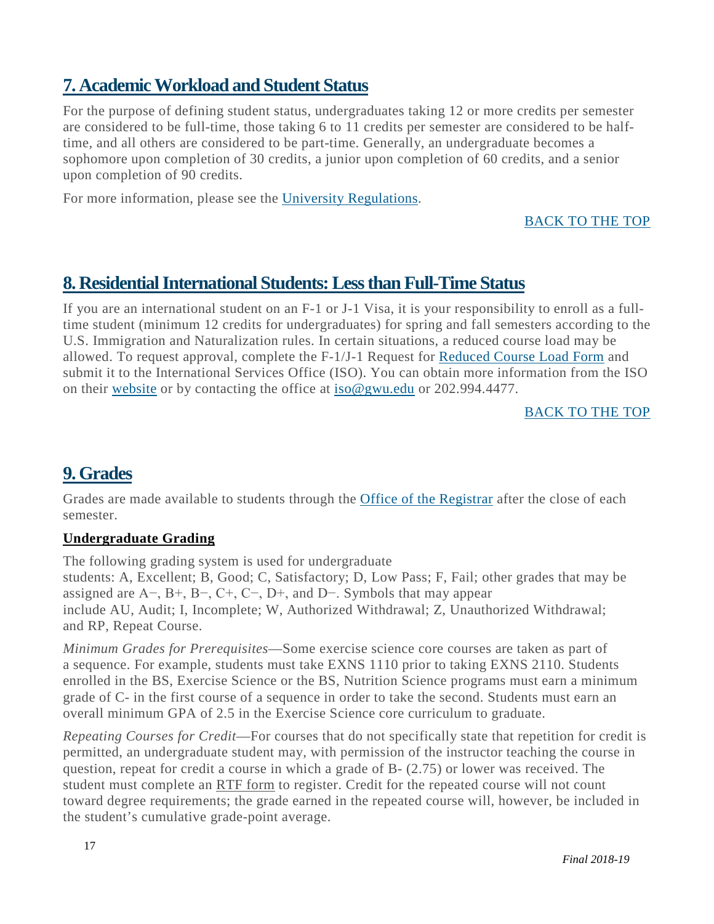### <span id="page-17-0"></span>**7. AcademicWorkload and Student Status**

For the purpose of defining student status, undergraduates taking 12 or more credits per semester are considered to be full-time, those taking 6 to 11 credits per semester are considered to be halftime, and all others are considered to be part-time. Generally, an undergraduate becomes a sophomore upon completion of 30 credits, a junior upon completion of 60 credits, and a senior upon completion of 90 credits.

For more information, please see the University [Regulations.](http://bulletin.gwu.edu/university-regulations/#Grades)

[BACK](#page-2-0) TO THE TOP

### <span id="page-17-1"></span>**8. ResidentialInternational Students:Lessthan Full-Time Status**

If you are an international student on an F-1 or J-1 Visa, it is your responsibility to enroll as a fulltime student (minimum 12 credits for undergraduates) for spring and fall semesters according to the U.S. Immigration and Naturalization rules. In certain situations, a reduced course load may be allowed. To request approval, complete the F-1/J-1 Request for [Reduced](https://internationalservices.gwu.edu/sites/internationalservices.gwu.edu/files/downloads/RCL_0.pdf) Course Load Form and submit it to the International Services Office (ISO). You can obtain more information from the ISO on their [website](http://internationalservices.gwu.edu/) or by contacting the office at [iso@gwu.edu](mailto:iso@gwu.edu) or 202.994.4477.

#### [BACK](#page-2-0) TO THE TOP

### <span id="page-17-2"></span>**9. Grades**

Grades are made available to students through the **Office of the [Registrar](http://registrar.gwu.edu/)** after the close of each semester.

#### **Undergraduate Grading**

The following grading system is used for undergraduate

students: A, Excellent; B, Good; C, Satisfactory; D, Low Pass; F, Fail; other grades that may be assigned are  $A-, B+, B-, C+, C-, D+,$  and  $D-.$  Symbols that may appear include AU, Audit; I, Incomplete; W, Authorized Withdrawal; Z, Unauthorized Withdrawal; and RP, Repeat Course.

*Minimum Grades for Prerequisites*—Some exercise science core courses are taken as part of a sequence. For example, students must take EXNS 1110 prior to taking EXNS 2110. Students enrolled in the BS, Exercise Science or the BS, Nutrition Science programs must earn a minimum grade of C- in the first course of a sequence in order to take the second. Students must earn an overall minimum GPA of 2.5 in the Exercise Science core curriculum to graduate.

*Repeating Courses for Credit*—For courses that do not specifically state that repetition for credit is permitted, an undergraduate student may, with permission of the instructor teaching the course in question, repeat for credit a course in which a grade of B- (2.75) or lower was received. The student must complete an RTF [form](https://registrar.gwu.edu/sites/registrar.gwu.edu/files/downloads/reg_transaction_form.pdf) to register. Credit for the repeated course will not count toward degree requirements; the grade earned in the repeated course will, however, be included in the student's cumulative grade-point average.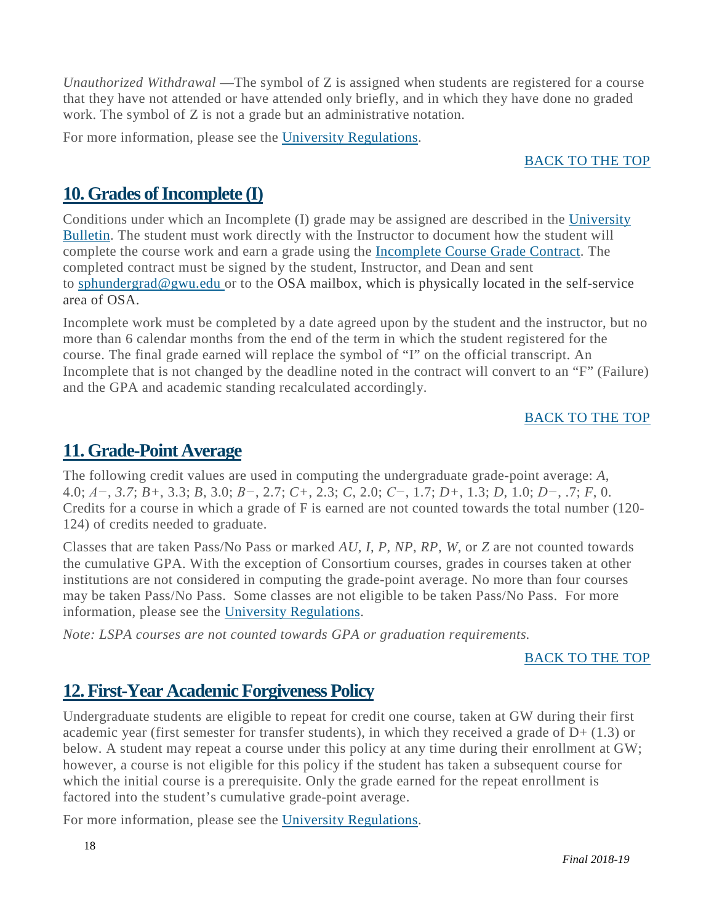*Unauthorized Withdrawal* —The symbol of Z is assigned when students are registered for a course that they have not attended or have attended only briefly, and in which they have done no graded work. The symbol of Z is not a grade but an administrative notation.

For more information, please see the University [Regulations.](http://bulletin.gwu.edu/university-regulations/#Grades)

#### [BACK](#page-2-0) TO THE TOP

### <span id="page-18-0"></span>10. Grades of Incomplete **(I)**

Conditions under which an Incomplete (I) grade may be assigned are described in the [University](http://bulletin.gwu.edu/university-regulations/) [Bulletin.](http://bulletin.gwu.edu/university-regulations/) The student must work directly with the Instructor to document how the student will complete the course work and earn a grade using the [Incomplete](http://publichealth.gwu.edu/academics/forms) Course Grade Contract. The completed contract must be signed by the student, Instructor, and Dean and sent to [sphundergrad@gwu.edu](mailto:sphundergrad@gwu.edu) or to the OSA mailbox, which is physically located in the self-service area of OSA.

Incomplete work must be completed by a date agreed upon by the student and the instructor, but no more than 6 calendar months from the end of the term in which the student registered for the course. The final grade earned will replace the symbol of "I" on the official transcript. An Incomplete that is not changed by the deadline noted in the contract will convert to an "F" (Failure) and the GPA and academic standing recalculated accordingly.

#### [BACK](#page-2-0) TO THE TOP

### <span id="page-18-1"></span>**11.Grade-Point Average**

The following credit values are used in computing the undergraduate grade-point average: *A*, 4.0; *A−*, *3.7*; *B+*, 3.3; *B*, 3.0; *B−*, 2.7; *C+*, 2.3; *C*, 2.0; *C−*, 1.7; *D+*, 1.3; *D*, 1.0; *D−*, .7; *F*, 0. Credits for a course in which a grade of F is earned are not counted towards the total number (120- 124) of credits needed to graduate.

Classes that are taken Pass/No Pass or marked *AU*, *I*, *P*, *NP*, *RP*, *W*, or *Z* are not counted towards the cumulative GPA. With the exception of Consortium courses, grades in courses taken at other institutions are not considered in computing the grade-point average. No more than four courses may be taken Pass/No Pass. Some classes are not eligible to be taken Pass/No Pass. For more information, please see the University [Regulations.](http://bulletin.gwu.edu/university-regulations/#GPA)

*Note: LSPA courses are not counted towards GPA or graduation requirements.*

#### [BACK](#page-2-0) TO THE TOP

### <span id="page-18-2"></span>**12. First-Year Academic Forgiveness Policy**

Undergraduate students are eligible to repeat for credit one course, taken at GW during their first academic year (first semester for transfer students), in which they received a grade of  $D+ (1.3)$  or below. A student may repeat a course under this policy at any time during their enrollment at GW; however, a course is not eligible for this policy if the student has taken a subsequent course for which the initial course is a prerequisite. Only the grade earned for the repeat enrollment is factored into the student's cumulative grade-point average.

For more information, please see the University [Regulations.](http://bulletin.gwu.edu/university-regulations/#Academic%20Forgiveness%20Policy)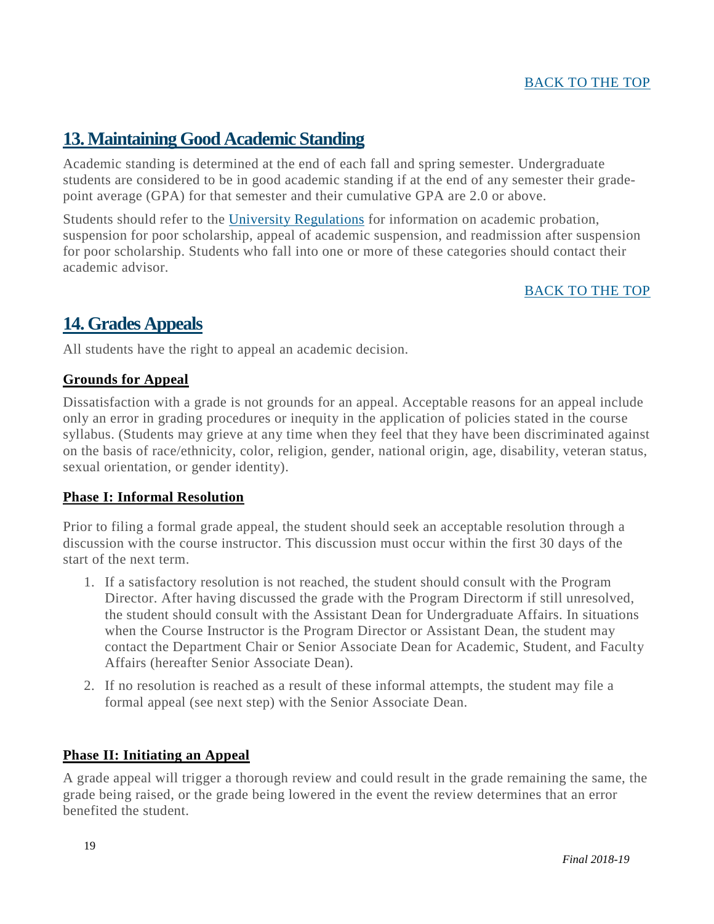#### [BACK](#page-2-0) TO THE TOP

### <span id="page-19-0"></span>**13.Maintaining Good Academic Standing**

Academic standing is determined at the end of each fall and spring semester. Undergraduate students are considered to be in good academic standing if at the end of any semester their gradepoint average (GPA) for that semester and their cumulative GPA are 2.0 or above.

Students should refer to the University [Regulations](http://bulletin.gwu.edu/university-regulations/#Standing) for information on academic probation, suspension for poor scholarship, appeal of academic suspension, and readmission after suspension for poor scholarship. Students who fall into one or more of these categories should contact their academic advisor.

#### [BACK](#page-2-0) TO THE TOP

### <span id="page-19-1"></span>**14.Grades Appeals**

All students have the right to appeal an academic decision.

#### **Grounds for Appeal**

Dissatisfaction with a grade is not grounds for an appeal. Acceptable reasons for an appeal include only an error in grading procedures or inequity in the application of policies stated in the course syllabus. (Students may grieve at any time when they feel that they have been discriminated against on the basis of race/ethnicity, color, religion, gender, national origin, age, disability, veteran status, sexual orientation, or gender identity).

#### **Phase I: Informal Resolution**

Prior to filing a formal grade appeal, the student should seek an acceptable resolution through a discussion with the course instructor. This discussion must occur within the first 30 days of the start of the next term.

- 1. If a satisfactory resolution is not reached, the student should consult with the Program Director. After having discussed the grade with the Program Directorm if still unresolved, the student should consult with the Assistant Dean for Undergraduate Affairs. In situations when the Course Instructor is the Program Director or Assistant Dean, the student may contact the Department Chair or Senior Associate Dean for Academic, Student, and Faculty Affairs (hereafter Senior Associate Dean).
- 2. If no resolution is reached as a result of these informal attempts, the student may file a formal appeal (see next step) with the Senior Associate Dean.

#### **Phase II: Initiating an Appeal**

A grade appeal will trigger a thorough review and could result in the grade remaining the same, the grade being raised, or the grade being lowered in the event the review determines that an error benefited the student.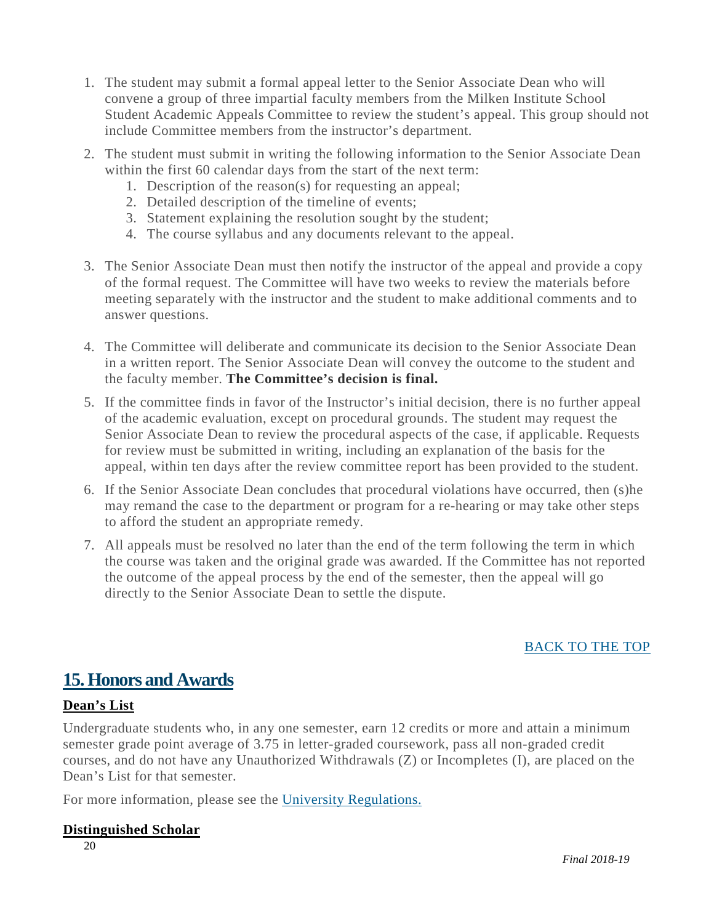- 1. The student may submit a formal appeal letter to the Senior Associate Dean who will convene a group of three impartial faculty members from the Milken Institute School Student Academic Appeals Committee to review the student's appeal. This group should not include Committee members from the instructor's department.
- 2. The student must submit in writing the following information to the Senior Associate Dean within the first 60 calendar days from the start of the next term:
	- 1. Description of the reason(s) for requesting an appeal;
	- 2. Detailed description of the timeline of events;
	- 3. Statement explaining the resolution sought by the student;
	- 4. The course syllabus and any documents relevant to the appeal.
- 3. The Senior Associate Dean must then notify the instructor of the appeal and provide a copy of the formal request. The Committee will have two weeks to review the materials before meeting separately with the instructor and the student to make additional comments and to answer questions.
- 4. The Committee will deliberate and communicate its decision to the Senior Associate Dean in a written report. The Senior Associate Dean will convey the outcome to the student and the faculty member. **The Committee's decision is final.**
- 5. If the committee finds in favor of the Instructor's initial decision, there is no further appeal of the academic evaluation, except on procedural grounds. The student may request the Senior Associate Dean to review the procedural aspects of the case, if applicable. Requests for review must be submitted in writing, including an explanation of the basis for the appeal, within ten days after the review committee report has been provided to the student.
- 6. If the Senior Associate Dean concludes that procedural violations have occurred, then (s)he may remand the case to the department or program for a re-hearing or may take other steps to afford the student an appropriate remedy.
- 7. All appeals must be resolved no later than the end of the term following the term in which the course was taken and the original grade was awarded. If the Committee has not reported the outcome of the appeal process by the end of the semester, then the appeal will go directly to the Senior Associate Dean to settle the dispute.

#### [BACK](#page-2-0) TO THE TOP

### <span id="page-20-0"></span>**15.Honors and Awards**

#### **Dean's List**

Undergraduate students who, in any one semester, earn 12 credits or more and attain a minimum semester grade point average of 3.75 in letter-graded coursework, pass all non-graded credit courses, and do not have any Unauthorized Withdrawals (Z) or Incompletes (I), are placed on the Dean's List for that semester.

For more information, please see the University [Regulations.](http://bulletin.gwu.edu/university-regulations/#Latin)

#### **Distinguished Scholar**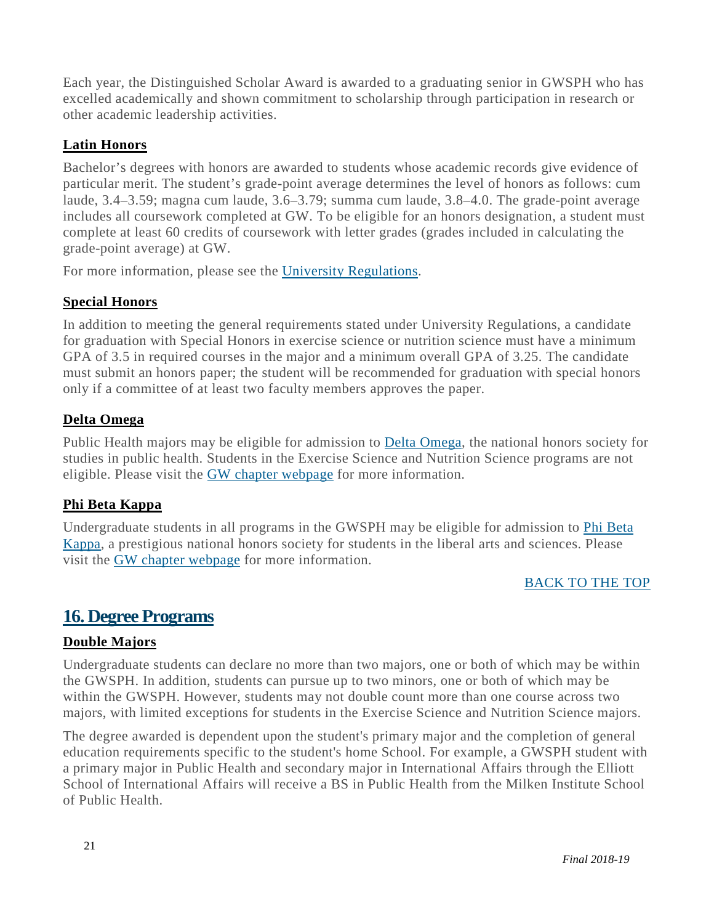Each year, the Distinguished Scholar Award is awarded to a graduating senior in GWSPH who has excelled academically and shown commitment to scholarship through participation in research or other academic leadership activities.

#### **Latin Honors**

Bachelor's degrees with honors are awarded to students whose academic records give evidence of particular merit. The student's grade-point average determines the level of honors as follows: cum laude, 3.4–3.59; magna cum laude, 3.6–3.79; summa cum laude, 3.8–4.0. The grade-point average includes all coursework completed at GW. To be eligible for an honors designation, a student must complete at least 60 credits of coursework with letter grades (grades included in calculating the grade-point average) at GW.

For more information, please see the University [Regulations.](http://bulletin.gwu.edu/university-regulations/#Latin)

#### **Special Honors**

In addition to meeting the general requirements stated under University Regulations, a candidate for graduation with Special Honors in exercise science or nutrition science must have a minimum GPA of 3.5 in required courses in the major and a minimum overall GPA of 3.25. The candidate must submit an honors paper; the student will be recommended for graduation with special honors only if a committee of at least two faculty members approves the paper.

#### **Delta Omega**

Public Health majors may be eligible for admission to Delta [Omega,](https://deltaomega.org/) the national honors society for studies in public health. Students in the Exercise Science and Nutrition Science programs are not eligible. Please visit the GW chapter [webpage](https://publichealth.gwu.edu/projects/delta-omega) for more information.

#### **Phi Beta Kappa**

Undergraduate students in all programs in the GWSPH may be eligible for admission to Phi [Beta](https://www.pbk.org/) [Kappa,](https://www.pbk.org/) a prestigious national honors society for students in the liberal arts and sciences. Please visit the GW chapter [webpage](http://phibetakappa.gwu.edu/) for more information.

#### [BACK](#page-2-0) TO THE TOP

#### <span id="page-21-0"></span>**16. Degree Programs**

#### **Double Majors**

Undergraduate students can declare no more than two majors, one or both of which may be within the GWSPH. In addition, students can pursue up to two minors, one or both of which may be within the GWSPH. However, students may not double count more than one course across two majors, with limited exceptions for students in the Exercise Science and Nutrition Science majors.

The degree awarded is dependent upon the student's primary major and the completion of general education requirements specific to the student's home School. For example, a GWSPH student with a primary major in Public Health and secondary major in International Affairs through the Elliott School of International Affairs will receive a BS in Public Health from the Milken Institute School of Public Health.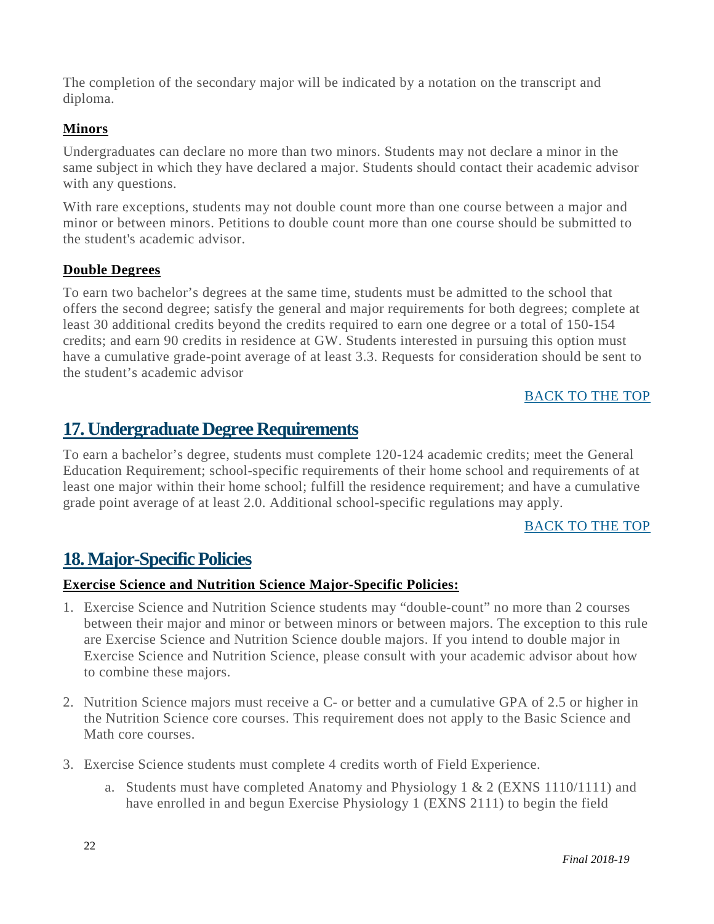The completion of the secondary major will be indicated by a notation on the transcript and diploma.

#### **Minors**

Undergraduates can declare no more than two minors. Students may not declare a minor in the same subject in which they have declared a major. Students should contact their academic advisor with any questions.

With rare exceptions, students may not double count more than one course between a major and minor or between minors. Petitions to double count more than one course should be submitted to the student's academic advisor.

#### **Double Degrees**

To earn two bachelor's degrees at the same time, students must be admitted to the school that offers the second degree; satisfy the general and major requirements for both degrees; complete at least 30 additional credits beyond the credits required to earn one degree or a total of 150-154 credits; and earn 90 credits in residence at GW. Students interested in pursuing this option must have a cumulative grade-point average of at least 3.3. Requests for consideration should be sent to the student's academic advisor

#### [BACK](#page-2-0) TO THE TOP

### <span id="page-22-0"></span>**17. Undergraduate Degree Requirements**

To earn a bachelor's degree, students must complete 120-124 academic credits; meet the General Education Requirement; school-specific requirements of their home school and requirements of at least one major within their home school; fulfill the residence requirement; and have a cumulative grade point average of at least 2.0. Additional school-specific regulations may apply.

#### [BACK](#page-2-0) TO THE TOP

### <span id="page-22-1"></span>**18. Major-Specific Policies**

#### **Exercise Science and Nutrition Science Major-Specific Policies:**

- 1. Exercise Science and Nutrition Science students may "double-count" no more than 2 courses between their major and minor or between minors or between majors. The exception to this rule are Exercise Science and Nutrition Science double majors. If you intend to double major in Exercise Science and Nutrition Science, please consult with your academic advisor about how to combine these majors.
- 2. Nutrition Science majors must receive a C- or better and a cumulative GPA of 2.5 or higher in the Nutrition Science core courses. This requirement does not apply to the Basic Science and Math core courses.
- 3. Exercise Science students must complete 4 credits worth of Field Experience.
	- a. Students must have completed Anatomy and Physiology 1 & 2 (EXNS 1110/1111) and have enrolled in and begun Exercise Physiology 1 (EXNS 2111) to begin the field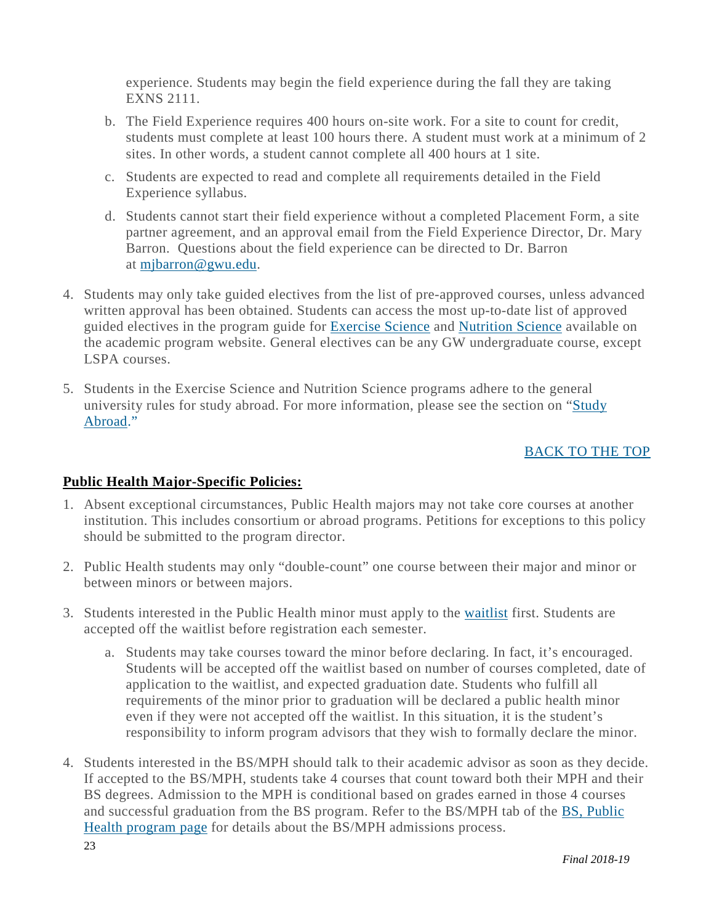experience. Students may begin the field experience during the fall they are taking EXNS 2111.

- b. The Field Experience requires 400 hours on-site work. For a site to count for credit, students must complete at least 100 hours there. A student must work at a minimum of 2 sites. In other words, a student cannot complete all 400 hours at 1 site.
- c. Students are expected to read and complete all requirements detailed in the Field Experience syllabus.
- d. Students cannot start their field experience without a completed Placement Form, a site partner agreement, and an approval email from the Field Experience Director, Dr. Mary Barron. Questions about the field experience can be directed to Dr. Barron at [mjbarron@gwu.edu.](mailto:mjbarron@gwu.edu)
- 4. Students may only take guided electives from the list of pre-approved courses, unless advanced written approval has been obtained. Students can access the most up-to-date list of approved guided electives in the program guide for **Exercise Science** and **Nutrition Science** available on the academic program website. General electives can be any GW undergraduate course, except LSPA courses.
- 5. Students in the Exercise Science and Nutrition Science programs adhere to the general university rules for study abroad. For more information, please see the section on ["Study](#page-26-3)  [Abroad.](#page-26-3)"

#### [BACK](#page-2-0) TO THE TOP

#### **Public Health Major-Specific Policies:**

- 1. Absent exceptional circumstances, Public Health majors may not take core courses at another institution. This includes consortium or abroad programs. Petitions for exceptions to this policy should be submitted to the program director.
- 2. Public Health students may only "double-count" one course between their major and minor or between minors or between majors.
- 3. Students interested in the Public Health minor must apply to the [waitlist](https://docs.google.com/forms/d/e/1FAIpQLSc51Lp_DDjcCYH1jYpVogj1DFwNVsF8t-8aLldXC8PyRvo2Lw/viewform) first. Students are accepted off the waitlist before registration each semester.
	- a. Students may take courses toward the minor before declaring. In fact, it's encouraged. Students will be accepted off the waitlist based on number of courses completed, date of application to the waitlist, and expected graduation date. Students who fulfill all requirements of the minor prior to graduation will be declared a public health minor even if they were not accepted off the waitlist. In this situation, it is the student's responsibility to inform program advisors that they wish to formally declare the minor.
- 4. Students interested in the BS/MPH should talk to their academic advisor as soon as they decide. If accepted to the BS/MPH, students take 4 courses that count toward both their MPH and their BS degrees. Admission to the MPH is conditional based on grades earned in those 4 courses and successful graduation from the BS program. Refer to the BS/MPH tab of the BS, [Public](https://publichealth.gwu.edu/programs/public-health-bs) Health [program](https://publichealth.gwu.edu/programs/public-health-bs) page for details about the BS/MPH admissions process.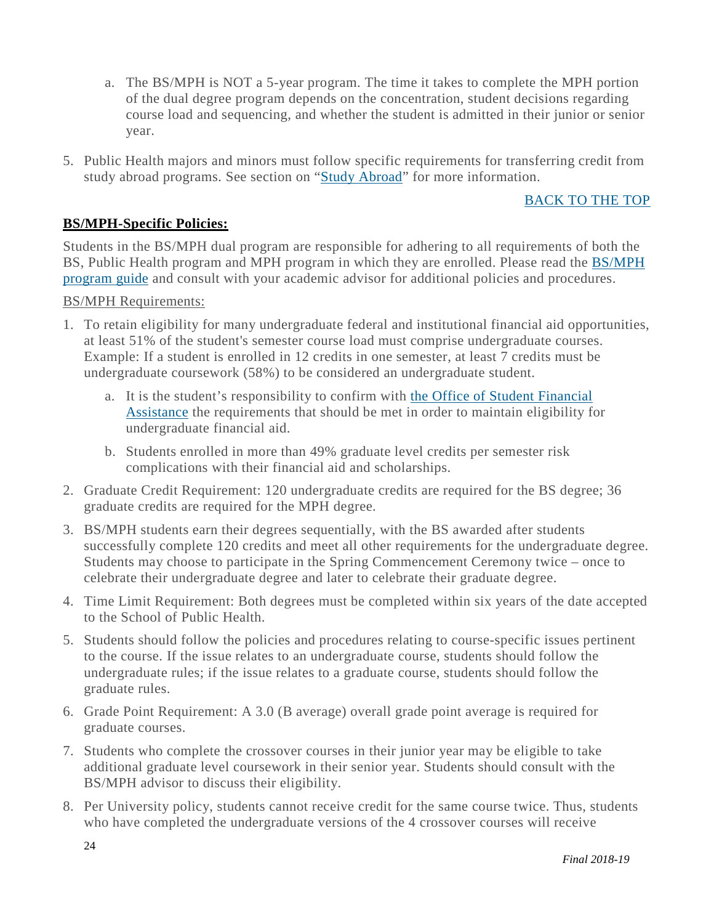- a. The BS/MPH is NOT a 5-year program. The time it takes to complete the MPH portion of the dual degree program depends on the concentration, student decisions regarding course load and sequencing, and whether the student is admitted in their junior or senior year.
- 5. Public Health majors and minors must follow specific requirements for transferring credit from study abroad programs. See section on ["Study Abroad"](#page-26-3) for more information.

#### [BACK](#page-2-0) TO THE TOP

#### **BS/MPH-Specific Policies:**

Students in the BS/MPH dual program are responsible for adhering to all requirements of both the BS, Public Health program and MPH program in which they are enrolled. Please read the **[BS/MPH](https://publichealth.gwu.edu/sites/default/files/BS%20MPH%20PH%202018.pdf)** [program](https://publichealth.gwu.edu/sites/default/files/BS%20MPH%20PH%202018.pdf) guide and consult with your academic advisor for additional policies and procedures.

#### BS/MPH Requirements:

- 1. To retain eligibility for many undergraduate federal and institutional financial aid opportunities, at least 51% of the student's semester course load must comprise undergraduate courses. Example: If a student is enrolled in 12 credits in one semester, at least 7 credits must be undergraduate coursework (58%) to be considered an undergraduate student.
	- a. It is the student's responsibility to confirm with the Office of Student [Financial](http://financialaid.gwu.edu/contact-us) [Assistance](http://financialaid.gwu.edu/contact-us) the requirements that should be met in order to maintain eligibility for undergraduate financial aid.
	- b. Students enrolled in more than 49% graduate level credits per semester risk complications with their financial aid and scholarships.
- 2. Graduate Credit Requirement: 120 undergraduate credits are required for the BS degree; 36 graduate credits are required for the MPH degree.
- 3. BS/MPH students earn their degrees sequentially, with the BS awarded after students successfully complete 120 credits and meet all other requirements for the undergraduate degree. Students may choose to participate in the Spring Commencement Ceremony twice – once to celebrate their undergraduate degree and later to celebrate their graduate degree.
- 4. Time Limit Requirement: Both degrees must be completed within six years of the date accepted to the School of Public Health.
- 5. Students should follow the policies and procedures relating to course-specific issues pertinent to the course. If the issue relates to an undergraduate course, students should follow the undergraduate rules; if the issue relates to a graduate course, students should follow the graduate rules.
- 6. Grade Point Requirement: A 3.0 (B average) overall grade point average is required for graduate courses.
- 7. Students who complete the crossover courses in their junior year may be eligible to take additional graduate level coursework in their senior year. Students should consult with the BS/MPH advisor to discuss their eligibility.
- 8. Per University policy, students cannot receive credit for the same course twice. Thus, students who have completed the undergraduate versions of the 4 crossover courses will receive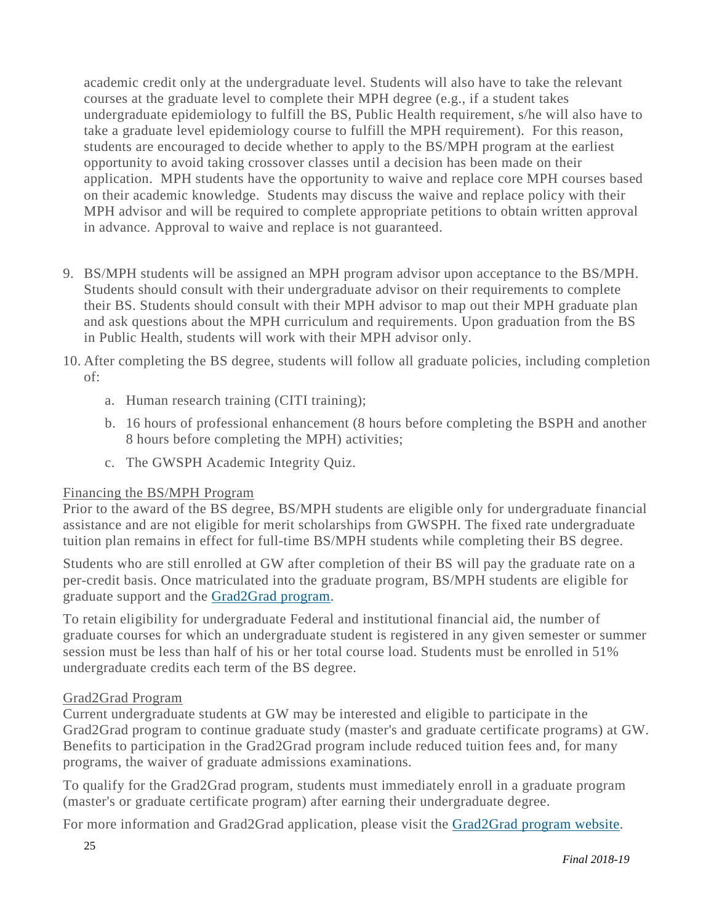academic credit only at the undergraduate level. Students will also have to take the relevant courses at the graduate level to complete their MPH degree (e.g., if a student takes undergraduate epidemiology to fulfill the BS, Public Health requirement, s/he will also have to take a graduate level epidemiology course to fulfill the MPH requirement). For this reason, students are encouraged to decide whether to apply to the BS/MPH program at the earliest opportunity to avoid taking crossover classes until a decision has been made on their application. MPH students have the opportunity to waive and replace core MPH courses based on their academic knowledge. Students may discuss the waive and replace policy with their MPH advisor and will be required to complete appropriate petitions to obtain written approval in advance. Approval to waive and replace is not guaranteed.

- 9. BS/MPH students will be assigned an MPH program advisor upon acceptance to the BS/MPH. Students should consult with their undergraduate advisor on their requirements to complete their BS. Students should consult with their MPH advisor to map out their MPH graduate plan and ask questions about the MPH curriculum and requirements. Upon graduation from the BS in Public Health, students will work with their MPH advisor only.
- 10. After completing the BS degree, students will follow all graduate policies, including completion of:
	- a. Human research training (CITI training);
	- b. 16 hours of professional enhancement (8 hours before completing the BSPH and another 8 hours before completing the MPH) activities;
	- c. The GWSPH Academic Integrity Quiz.

#### Financing the BS/MPH Program

Prior to the award of the BS degree, BS/MPH students are eligible only for undergraduate financial assistance and are not eligible for merit scholarships from GWSPH. The fixed rate undergraduate tuition plan remains in effect for full-time BS/MPH students while completing their BS degree.

Students who are still enrolled at GW after completion of their BS will pay the graduate rate on a per-credit basis. Once matriculated into the graduate program, BS/MPH students are eligible for graduate support and the [Grad2Grad](https://graduate.admissions.gwu.edu/grad2grad) program.

To retain eligibility for undergraduate Federal and institutional financial aid, the number of graduate courses for which an undergraduate student is registered in any given semester or summer session must be less than half of his or her total course load. Students must be enrolled in 51% undergraduate credits each term of the BS degree.

#### Grad2Grad Program

Current undergraduate students at GW may be interested and eligible to participate in the Grad2Grad program to continue graduate study (master's and graduate certificate programs) at GW. Benefits to participation in the Grad2Grad program include reduced tuition fees and, for many programs, the waiver of graduate admissions examinations.

To qualify for the Grad2Grad program, students must immediately enroll in a graduate program (master's or graduate certificate program) after earning their undergraduate degree.

For more information and Grad2Grad application, please visit the [Grad2Grad](https://graduate.admissions.gwu.edu/grad2grad) program website.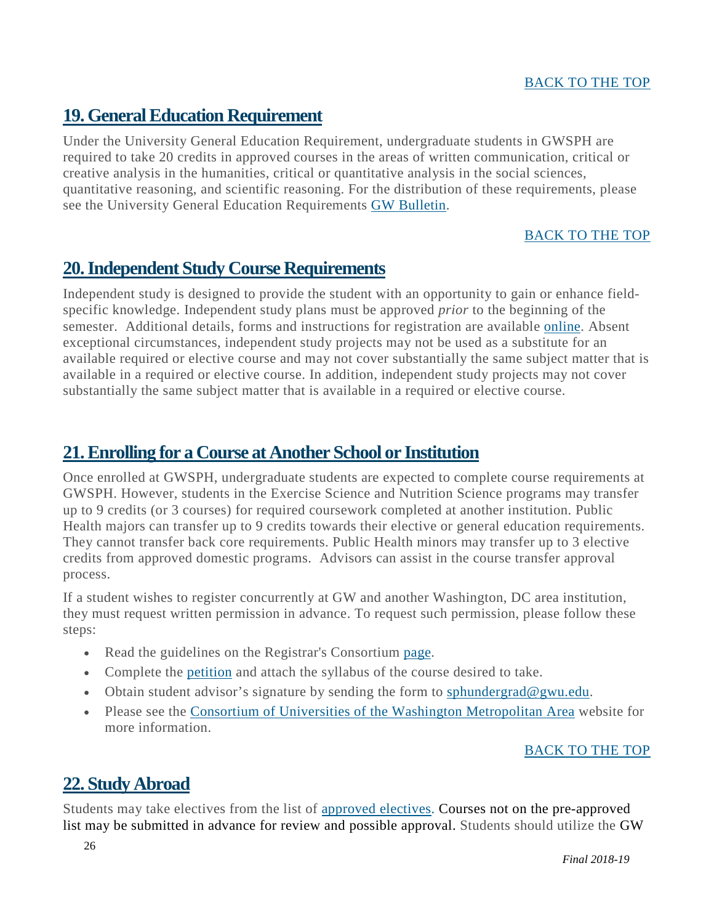### <span id="page-26-0"></span>**19.GeneralEducation Requirement**

Under the University General Education Requirement, undergraduate students in GWSPH are required to take 20 credits in approved courses in the areas of written communication, critical or creative analysis in the humanities, critical or quantitative analysis in the social sciences, quantitative reasoning, and scientific reasoning. For the distribution of these requirements, please see the University General Education Requirements GW Bulletin.

#### BACK TO THE TOP

### <span id="page-26-1"></span>**20.Independent Study Course Requirements**

Independent study is designed to provide the student with an opportunity to gain or enhance fieldspecific knowledge. Independent study plans must be approved *prior* to the beginning of the semester. Additional details, forms and instructions for registration are available [online.](file://dit-filefb-p05.ead.gwu.edu/GROUP/Academic%20Affairs/HANDBOOKS/2018/Public%20Health%20Major-Specific%20Policies:) Absent exceptional circumstances, independent study projects may not be used as a substitute for an available required or elective course and may not cover substantially the same subject matter that is available in a required or elective course. In addition, independent study projects may not cover substantially the same subject matter that is available in a required or elective course.

### <span id="page-26-2"></span>**21.Enrolling for a Course at Another School or Institution**

Once enrolled at GWSPH, undergraduate students are expected to complete course requirements at GWSPH. However, students in the Exercise Science and Nutrition Science programs may transfer up to 9 credits (or 3 courses) for required coursework completed at another institution. Public Health majors can transfer up to 9 credits towards their elective or general education requirements. They cannot transfer back core requirements. Public Health minors may transfer up to 3 elective credits from approved domestic programs. Advisors can assist in the course transfer approval process.

If a student wishes to register concurrently at GW and another Washington, DC area institution, they must request written permission in advance. To request such permission, please follow these steps:

- Read the guidelines on the Registrar's Consortium [page.](https://registrar.gwu.edu/consortium)
- Complete the [petition](https://registrar.gwu.edu/sites/g/files/zaxdzs2171/f/downloads/consortium-form.pdf) and attach the syllabus of the course desired to take.
- Obtain student advisor's signature by sending the form to [sphundergrad@gwu.edu.](https://registrar.gwu.edu/sites/g/files/zaxdzs2171/f/downloads/consortium-form.pdf)
- Please see the Consortium of Universities of the Washington [Metropolitan](http://www.consortium.org/) Area website for more information.

#### [BACK](#page-2-0) TO THE TOP

### <span id="page-26-3"></span>**22. Study Abroad**

Students may take electives from the list of [approved](https://publichealth.gwu.edu/sites/default/files/downloads/Study%20Abroad%20Course%20Decisions_Publish_2016-07-11.pdf) electives. Courses not on the pre-approved list may be submitted in advance for review and possible approval. Students should utilize the GW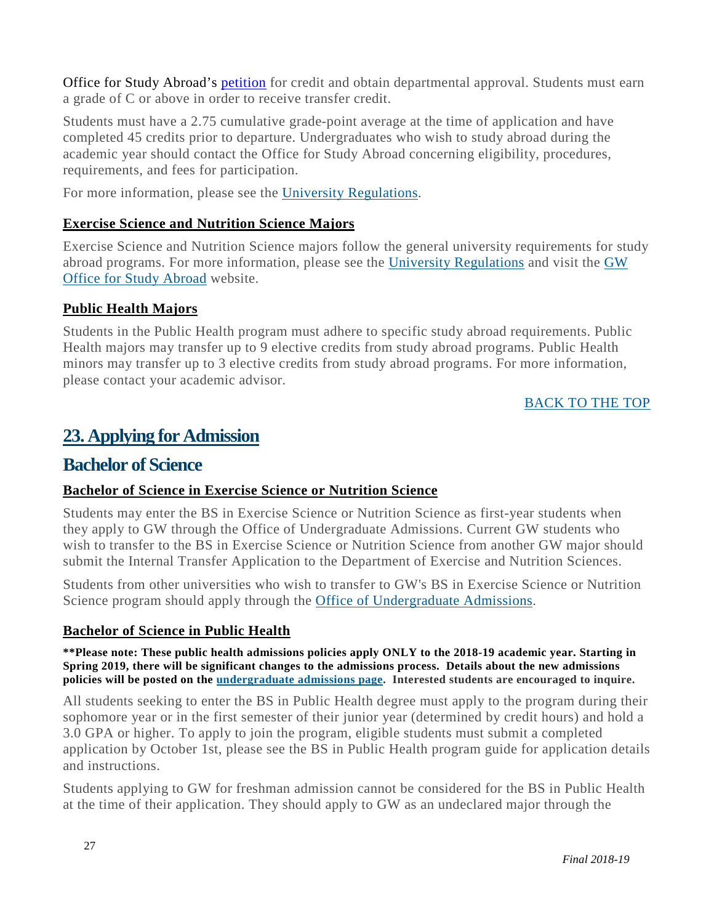Office for Study Abroad's [petition](https://studyabroad.gwu.edu/transferring-credit) for credit and obtain departmental approval. Students must earn a grade of C or above in order to receive transfer credit.

Students must have a 2.75 cumulative grade-point average at the time of application and have completed 45 credits prior to departure. Undergraduates who wish to study abroad during the academic year should contact the Office for Study Abroad concerning eligibility, procedures, requirements, and fees for participation.

For more information, please see the University [Regulations.](http://bulletin.gwu.edu/university-regulations/#Abroad)

#### **Exercise Science and Nutrition Science Majors**

Exercise Science and Nutrition Science majors follow the general university requirements for study abroad programs. For more information, please see the [University Regulations](http://bulletin.gwu.edu/university-regulations/#Abroad) and visit the [GW](https://studyabroad.gwu.edu/)  [Office for Study Abroad](https://studyabroad.gwu.edu/) website.

#### **Public Health Majors**

Students in the Public Health program must adhere to specific study abroad requirements. Public Health majors may transfer up to 9 elective credits from study abroad programs. Public Health minors may transfer up to 3 elective credits from study abroad programs. For more information, please contact your academic advisor.

#### [BACK](#page-2-0) TO THE TOP

### <span id="page-27-0"></span>**23. Applying for Admission**

#### **Bachelor of Science**

#### **Bachelor of Science in Exercise Science or Nutrition Science**

Students may enter the BS in Exercise Science or Nutrition Science as first-year students when they apply to GW through the Office of Undergraduate Admissions. Current GW students who wish to transfer to the BS in Exercise Science or Nutrition Science from another GW major should submit the Internal Transfer Application to the Department of Exercise and Nutrition Sciences.

Students from other universities who wish to transfer to GW's BS in Exercise Science or Nutrition Science program should apply through the Office of [Undergraduate](https://undergraduate.admissions.gwu.edu/) Admissions.

#### **Bachelor of Science in Public Health**

**\*\*Please note: These public health admissions policies apply ONLY to the 2018-19 academic year. Starting in Spring 2019, there will be significant changes to the admissions process. Details about the new admissions policies will be posted on the [undergraduate](https://publichealth.gwu.edu/admissions/undergraduate-admissions) admissions page. Interested students are encouraged to inquire.**

All students seeking to enter the BS in Public Health degree must apply to the program during their sophomore year or in the first semester of their junior year (determined by credit hours) and hold a 3.0 GPA or higher. To apply to join the program, eligible students must submit a completed application by October 1st, please see the BS in Public Health program guide for application details and instructions.

Students applying to GW for freshman admission cannot be considered for the BS in Public Health at the time of their application. They should apply to GW as an undeclared major through the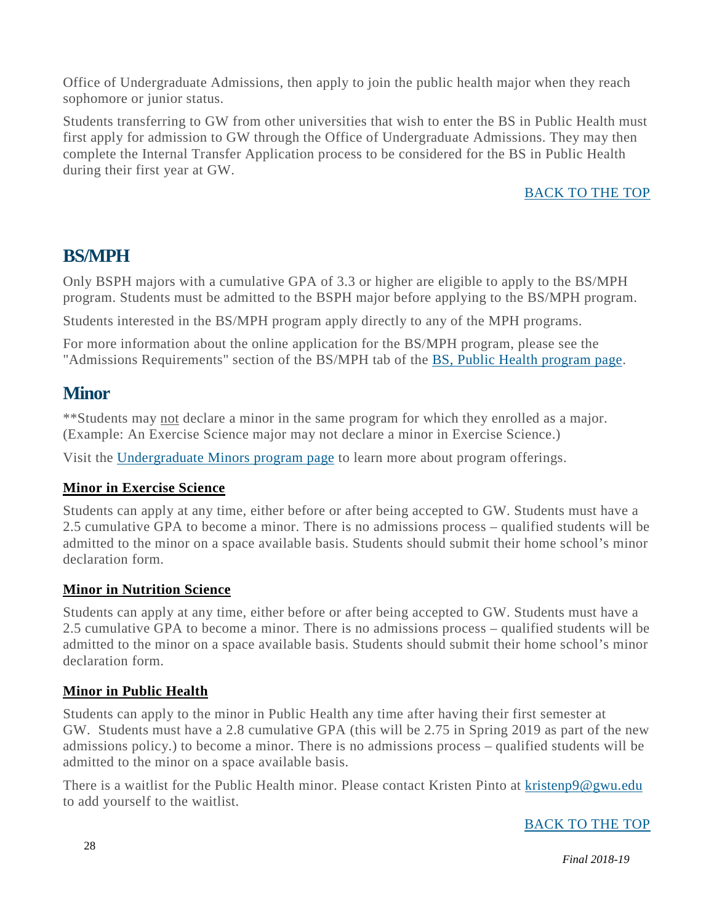Office of Undergraduate Admissions, then apply to join the public health major when they reach sophomore or junior status.

Students transferring to GW from other universities that wish to enter the BS in Public Health must first apply for admission to GW through the Office of Undergraduate Admissions. They may then complete the Internal Transfer Application process to be considered for the BS in Public Health during their first year at GW.

#### [BACK](#page-2-0) TO THE TOP

### **BS/MPH**

Only BSPH majors with a cumulative GPA of 3.3 or higher are eligible to apply to the BS/MPH program. Students must be admitted to the BSPH major before applying to the BS/MPH program.

Students interested in the BS/MPH program apply directly to any of the MPH programs.

For more information about the online application for the BS/MPH program, please see the "Admissions Requirements" section of the BS/MPH tab of the BS, Public Health [program](https://publichealth.gwu.edu/programs/public-health-bs) page.

### **Minor**

\*\*Students may not declare a minor in the same program for which they enrolled as a major. (Example: An Exercise Science major may not declare a minor in Exercise Science.)

Visit the [Undergraduate](https://publichealth.gwu.edu/programs/undergraduate-minors) Minors program page to learn more about program offerings.

#### **Minor in Exercise Science**

Students can apply at any time, either before or after being accepted to GW. Students must have a 2.5 cumulative GPA to become a minor. There is no admissions process – qualified students will be admitted to the minor on a space available basis. Students should submit their home school's minor declaration form.

#### **Minor in Nutrition Science**

Students can apply at any time, either before or after being accepted to GW. Students must have a 2.5 cumulative GPA to become a minor. There is no admissions process – qualified students will be admitted to the minor on a space available basis. Students should submit their home school's minor declaration form.

#### **Minor in Public Health**

Students can apply to the minor in Public Health any time after having their first semester at GW. Students must have a 2.8 cumulative GPA (this will be 2.75 in Spring 2019 as part of the new admissions policy.) to become a minor. There is no admissions process – qualified students will be admitted to the minor on a space available basis.

There is a waitlist for the Public Health minor. Please contact Kristen Pinto at [kristenp9@gwu.edu](mailto:kristenp9@gwu.edu) to add yourself to the waitlist.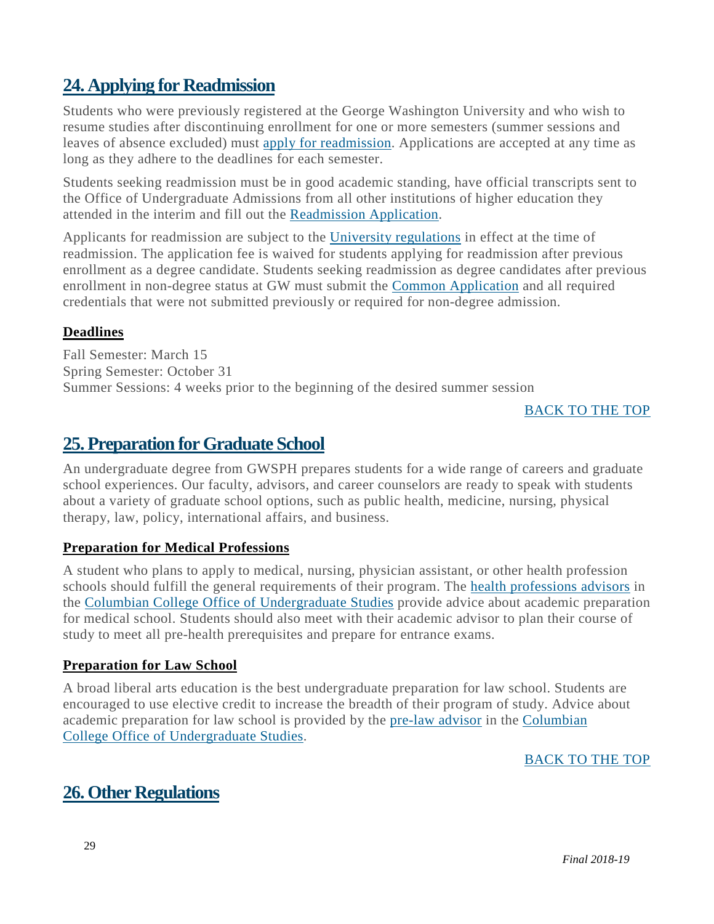### <span id="page-29-0"></span>**24. Applying for Readmission**

Students who were previously registered at the George Washington University and who wish to resume studies after discontinuing enrollment for one or more semesters (summer sessions and leaves of absence excluded) must apply for [readmission.](https://gwadmissions.secure.force.com/tgtx/targetx_eventsb__formpage?formid=217782) Applications are accepted at any time as long as they adhere to the deadlines for each semester.

Students seeking readmission must be in good academic standing, have official transcripts sent to the Office of Undergraduate Admissions from all other institutions of higher education they attended in the interim and fill out the [Readmission](https://gwadmissions.secure.force.com/tgtx/targetx_eventsb__formpage?formid=217782) Application.

Applicants for readmission are subject to the University [regulations](http://bulletin.gwu.edu/university-regulations) in effect at the time of readmission. The application fee is waived for students applying for readmission after previous enrollment as a degree candidate. Students seeking readmission as degree candidates after previous enrollment in non-degree status at GW must submit the Common [Application](https://www.commonapp.org/school/george-washington-university) and all required credentials that were not submitted previously or required for non-degree admission.

#### **Deadlines**

Fall Semester: March 15 Spring Semester: October 31 Summer Sessions: 4 weeks prior to the beginning of the desired summer session

#### [BACK](#page-2-0) TO THE TOP

### <span id="page-29-1"></span>**25. Preparation forGraduate School**

An undergraduate degree from GWSPH prepares students for a wide range of careers and graduate school experiences. Our faculty, advisors, and career counselors are ready to speak with students about a variety of graduate school options, such as public health, medicine, nursing, physical therapy, law, policy, international affairs, and business.

#### **Preparation for Medical Professions**

A student who plans to apply to medical, nursing, physician assistant, or other health profession schools should fulfill the general requirements of their program. The health [professions](https://prehealth.gwu.edu/) advisors in the Columbian College Office of [Undergraduate](https://columbian.gwu.edu/undergraduate-majors) Studies provide advice about academic preparation for medical school. Students should also meet with their academic advisor to plan their course of study to meet all pre-health prerequisites and prepare for entrance exams.

#### **Preparation for Law School**

A broad liberal arts education is the best undergraduate preparation for law school. Students are encouraged to use elective credit to increase the breadth of their program of study. Advice about academic preparation for law school is provided by the [pre-law](https://prelaw.gwu.edu/) advisor in the [Columbian](http://columbian.gwu.edu/undergraduate-majorscolumbian.gwu.edu/undergraduate-majors) College Office of [Undergraduate](http://columbian.gwu.edu/undergraduate-majorscolumbian.gwu.edu/undergraduate-majors) Studies.

#### [BACK](#page-2-0) TO THE TOP

### <span id="page-29-2"></span>**26. Other Regulations**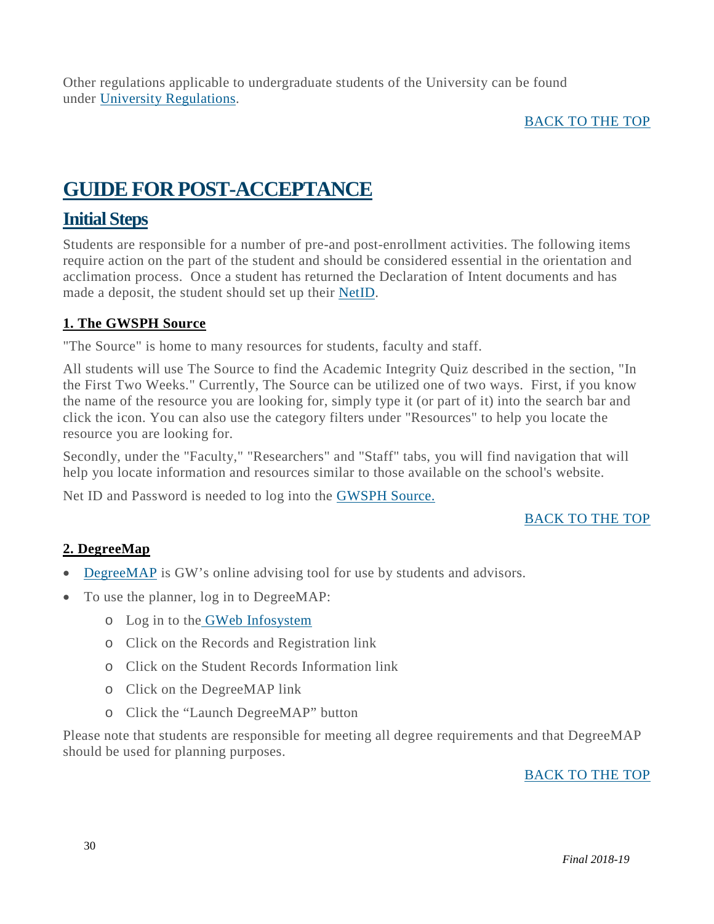Other regulations applicable to undergraduate students of the University can be found under University [Regulations.](http://bulletin.gwu.edu/university-regulations/)

#### [BACK](#page-2-0) TO THE TOP

### <span id="page-30-0"></span>**GUIDEFOR POST-ACCEPTANCE**

### <span id="page-30-1"></span>**Initial Steps**

Students are responsible for a number of pre-and post-enrollment activities. The following items require action on the part of the student and should be considered essential in the orientation and acclimation process. Once a student has returned the Declaration of Intent documents and has made a deposit, the student should set up their [NetID.](http://gwid.gwu.edu/)

#### <span id="page-30-2"></span>**1. The GWSPH Source**

"The Source" is home to many resources for students, faculty and staff.

All students will use The Source to find the Academic Integrity Quiz described in the section, "In the First Two Weeks." Currently, The Source can be utilized one of two ways. First, if you know the name of the resource you are looking for, simply type it (or part of it) into the search bar and click the icon. You can also use the category filters under "Resources" to help you locate the resource you are looking for.

Secondly, under the "Faculty," "Researchers" and "Staff" tabs, you will find navigation that will help you locate information and resources similar to those available on the school's website.

Net ID and Password is needed to log into the [GWSPH](http://publichealth.gwu.edu/content/gwsph-source) Source.

#### [BACK](#page-2-0) TO THE TOP

#### **2. DegreeMap**

- [DegreeMAP](https://registrar.gwu.edu/degreemap) is GW's online advising tool for use by students and advisors.
- To use the planner, log in to DegreeMAP:
	- o Log in to the GWeb [Infosystem](https://banweb.gwu.edu/)
	- o Click on the Records and Registration link
	- o Click on the Student Records Information link
	- o Click on the DegreeMAP link
	- o Click the "Launch DegreeMAP" button

<span id="page-30-3"></span>Please note that students are responsible for meeting all degree requirements and that DegreeMAP should be used for planning purposes.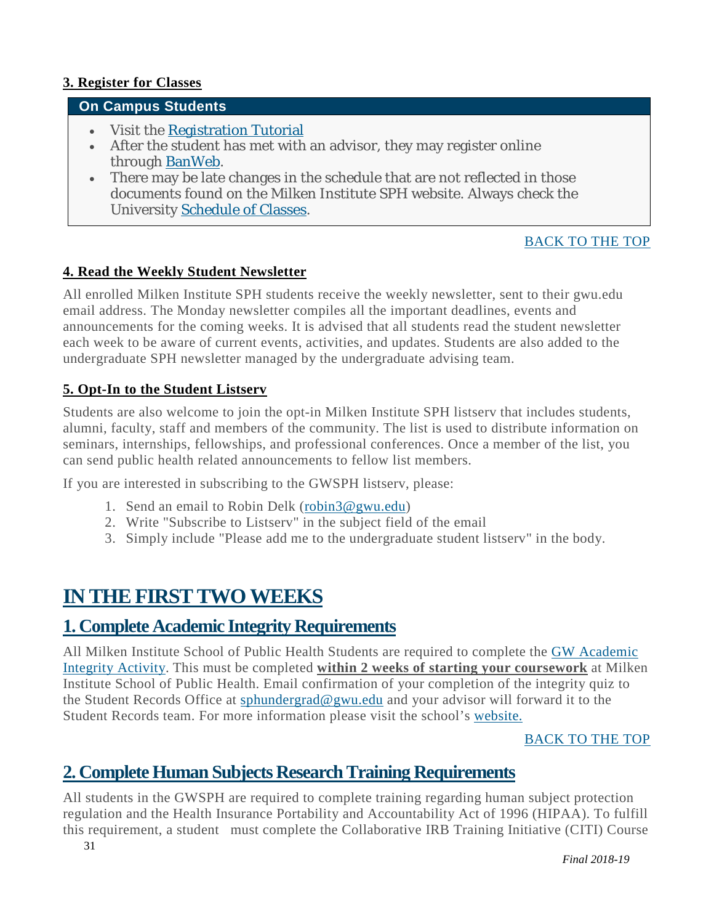#### **3. Register for Classes**

#### **On Campus Students**

- Visit the [Registration](http://publichealth.gwu.edu/academics/courses/registration-steps) Tutorial
- After the student has met with an advisor, they may register online through [BanWeb.](https://banweb.gwu.edu/PRODCartridge/twbkwbis.P_WWWLogin)
- There may be late changes in the schedule that are not reflected in those documents found on the Milken Institute SPH website. Always check the University [Schedule](http://www.gwu.edu/%7Eschedule/) of Classes.

#### [BACK](https://publichealth.gwu.edu/content/undergraduate-student-handbook#_BACK_) TO THE TOP

#### <span id="page-31-0"></span>**4. Read the Weekly Student Newsletter**

All enrolled Milken Institute SPH students receive the weekly newsletter, sent to their gwu.edu email address. The Monday newsletter compiles all the important deadlines, events and announcements for the coming weeks. It is advised that all students read the student newsletter each week to be aware of current events, activities, and updates. Students are also added to the undergraduate SPH newsletter managed by the undergraduate advising team.

#### <span id="page-31-1"></span>**5. Opt-In to the Student Listserv**

Students are also welcome to join the opt-in Milken Institute SPH listserv that includes students, alumni, faculty, staff and members of the community. The list is used to distribute information on seminars, internships, fellowships, and professional conferences. Once a member of the list, you can send public health related announcements to fellow list members.

If you are interested in subscribing to the GWSPH listserv, please:

- 1. Send an email to Robin Delk [\(robin3@gwu.edu\)](mailto:robin3@gwu.edu)
- 2. Write "Subscribe to Listserv" in the subject field of the email
- 3. Simply include "Please add me to the undergraduate student listserv" in the body.

### <span id="page-31-2"></span>**IN THE FIRST TWO WEEKS**

### <span id="page-31-3"></span>**1. Complete Academic Integrity Requirements**

All Milken Institute School of Public Health Students are required to complete the GW [Academic](http://publichealth.gwu.edu/integrity#GW%20Integrity) [Integrity](http://publichealth.gwu.edu/integrity#GW%20Integrity) Activity. This must be completed **within 2 weeks of starting your coursework** at Milken Institute School of Public Health. Email confirmation of your completion of the integrity quiz to the Student Records Office at [sphundergrad@gwu.edu](mailto:sphundergrad@gwu.edu) and your advisor will forward it to the Student Records team. For more information please visit the school's [website.](http://publichealth.gwu.edu/integrity)

#### [BACK](#page-2-0) TO THE TOP

### <span id="page-31-4"></span>**2. Complete Human Subjects ResearchTraining Requirements**

All students in the GWSPH are required to complete training regarding human subject protection regulation and the Health Insurance Portability and Accountability Act of 1996 (HIPAA). To fulfill this requirement, a student must complete the Collaborative IRB Training Initiative (CITI) Course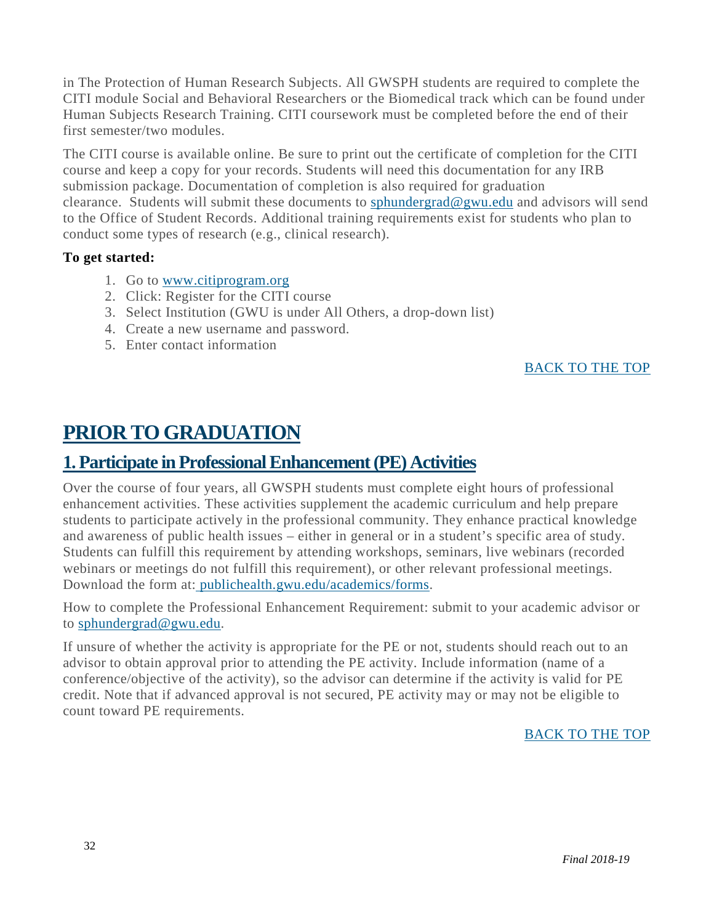in The Protection of Human Research Subjects. All GWSPH students are required to complete the CITI module Social and Behavioral Researchers or the Biomedical track which can be found under Human Subjects Research Training. CITI coursework must be completed before the end of their first semester/two modules.

The CITI course is available online. Be sure to print out the certificate of completion for the CITI course and keep a copy for your records. Students will need this documentation for any IRB submission package. Documentation of completion is also required for graduation clearance. Students will submit these documents to [sphundergrad@gwu.edu](mailto:sphundergrad@gwu.edu) and advisors will send to the Office of Student Records. Additional training requirements exist for students who plan to conduct some types of research (e.g., clinical research).

#### **To get started:**

- 1. Go to [www.citiprogram.org](http://www.citiprogram.org/)
- 2. Click: Register for the CITI course
- 3. Select Institution (GWU is under All Others, a drop-down list)
- 4. Create a new username and password.
- 5. Enter contact information

#### [BACK](#page-2-0) TO THE TOP

### <span id="page-32-0"></span>**PRIOR TO GRADUATION**

### **1. Participate in ProfessionalEnhancement(PE) Activities**

Over the course of four years, all GWSPH students must complete eight hours of professional enhancement activities. These activities supplement the academic curriculum and help prepare students to participate actively in the professional community. They enhance practical knowledge and awareness of public health issues – either in general or in a student's specific area of study. Students can fulfill this requirement by attending workshops, seminars, live webinars (recorded webinars or meetings do not fulfill this requirement), or other relevant professional meetings. Download the form at: [publichealth.gwu.edu/academics/forms.](http://publichealth.gwu.edu/academics/forms)

How to complete the Professional Enhancement Requirement: submit to your academic advisor or to [sphundergrad@gwu.edu.](mailto:sphundergrad@gwu.edu)

<span id="page-32-1"></span>If unsure of whether the activity is appropriate for the PE or not, students should reach out to an advisor to obtain approval prior to attending the PE activity. Include information (name of a conference/objective of the activity), so the advisor can determine if the activity is valid for PE credit. Note that if advanced approval is not secured, PE activity may or may not be eligible to count toward PE requirements.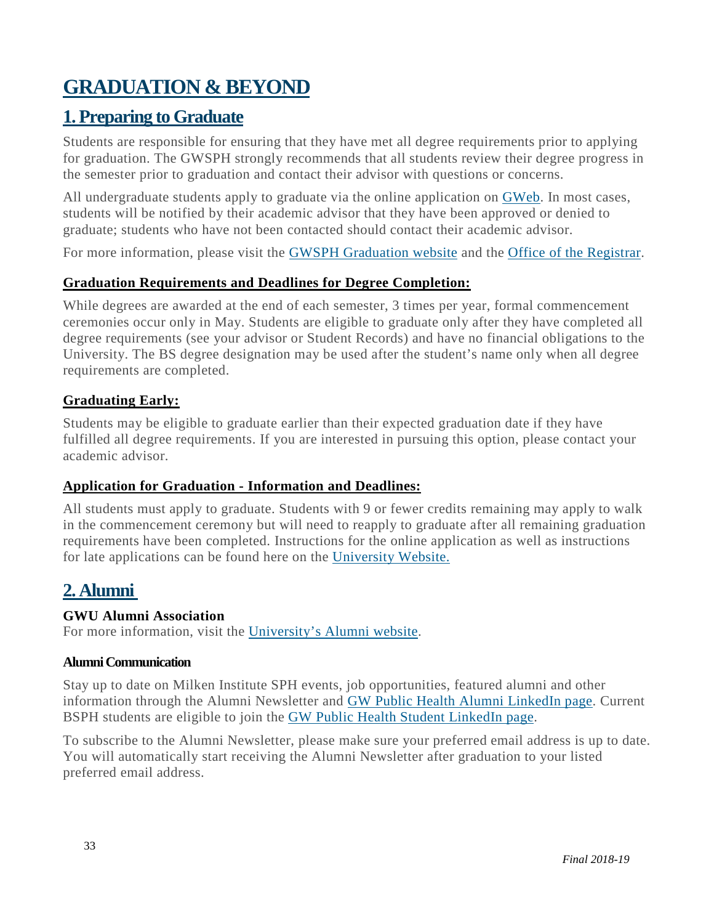### **GRADUATION & BEYOND**

### <span id="page-33-0"></span>**1. Preparing to Graduate**

Students are responsible for ensuring that they have met all degree requirements prior to applying for graduation. The GWSPH strongly recommends that all students review their degree progress in the semester prior to graduation and contact their advisor with questions or concerns.

All undergraduate students apply to graduate via the online application on [GWeb.](https://banweb.gwu.edu/PRODCartridge/twbkwbis.P_WWWLogin) In most cases, students will be notified by their academic advisor that they have been approved or denied to graduate; students who have not been contacted should contact their academic advisor.

For more information, please visit the GWSPH [Graduation](http://publichealth.gwu.edu/academics/graduation) website and the Office of the [Registrar.](https://registrar.gwu.edu/online-graduation-application-instructions)

#### **Graduation Requirements and Deadlines for Degree Completion:**

While degrees are awarded at the end of each semester, 3 times per year, formal commencement ceremonies occur only in May. Students are eligible to graduate only after they have completed all degree requirements (see your advisor or Student Records) and have no financial obligations to the University. The BS degree designation may be used after the student's name only when all degree requirements are completed.

#### **Graduating Early:**

Students may be eligible to graduate earlier than their expected graduation date if they have fulfilled all degree requirements. If you are interested in pursuing this option, please contact your academic advisor.

#### **Application for Graduation - Information and Deadlines:**

All students must apply to graduate. Students with 9 or fewer credits remaining may apply to walk in the commencement ceremony but will need to reapply to graduate after all remaining graduation requirements have been completed. Instructions for the online application as well as instructions for late applications can be found here on the [University](http://registrar.gwu.edu/graduation) Website.

### **2. Alumni**

#### **GWU Alumni Association**

For more information, visit the [University's](http://alumni.gwu.edu/gw-alumni-association) Alumni website.

#### <span id="page-33-1"></span>**AlumniCommunication**

Stay up to date on Milken Institute SPH events, job opportunities, featured alumni and other information through the Alumni Newsletter and GW Public Health Alumni [LinkedIn](https://www.linkedin.com/groups/4096989/profile) page. Current BSPH students are eligible to join the GW Public Health Student [LinkedIn](https://www.linkedin.com/groups/4536766/profile) page.

To subscribe to the Alumni Newsletter, please make sure your preferred email address is up to date. You will automatically start receiving the Alumni Newsletter after graduation to your listed preferred email address.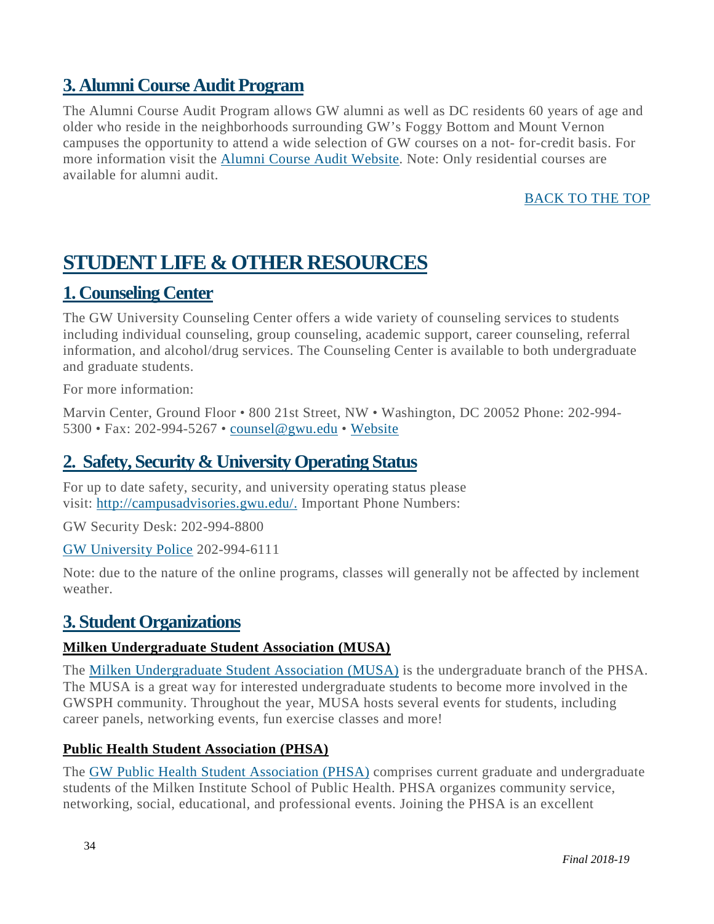### <span id="page-34-1"></span>**3. Alumni Course Audit Program**

The Alumni Course Audit Program allows GW alumni as well as DC residents 60 years of age and older who reside in the neighborhoods surrounding GW's Foggy Bottom and Mount Vernon campuses the opportunity to attend a wide selection of GW courses on a not- for-credit basis. For more information visit the Alumni Course Audit [Website.](https://alumni.gwu.edu/alumni-course-audit-program) Note: Only residential courses are available for alumni audit.

#### [BACK](#page-2-0) TO THE TOP

### <span id="page-34-2"></span>**STUDENT LIFE & OTHER RESOURCES**

### <span id="page-34-3"></span>**1. Counseling Center**

The GW University Counseling Center offers a wide variety of counseling services to students including individual counseling, group counseling, academic support, career counseling, referral information, and alcohol/drug services. The Counseling Center is available to both undergraduate and graduate students.

For more information:

Marvin Center, Ground Floor • 800 21st Street, NW • Washington, DC 20052 Phone: 202-994- 5300 • Fax: 202-994-5267 • [counsel@gwu.edu](mailto:counsel@gwu.edu) • [Website](http://counselingcenter.gwu.edu/)

### <span id="page-34-4"></span>**2. Safety, Security & University Operating Status**

For up to date safety, security, and university operating status please visit: [http://campusadvisories.gwu.edu/.](http://campusadvisories.gwu.edu/) Important Phone Numbers:

GW Security Desk: 202-994-8800

GW [University](http://police.gwu.edu/) Police 202-994-6111

Note: due to the nature of the online programs, classes will generally not be affected by inclement weather.

### <span id="page-34-0"></span>**3. Student Organizations**

#### **Milken Undergraduate Student Association (MUSA)**

The Milken [Undergraduate](https://www.facebook.com/Milken-Undergraduate-Student-Association-MUSA-1766668506922803/) Student Association (MUSA) is the undergraduate branch of the PHSA. The MUSA is a great way for interested undergraduate students to become more involved in the GWSPH community. Throughout the year, MUSA hosts several events for students, including career panels, networking events, fun exercise classes and more!

#### **Public Health Student Association (PHSA)**

The GW Public Health Student [Association](https://www.facebook.com/pg/GWPHSA/about/?ref=page_internal) (PHSA) comprises current graduate and undergraduate students of the Milken Institute School of Public Health. PHSA organizes community service, networking, social, educational, and professional events. Joining the PHSA is an excellent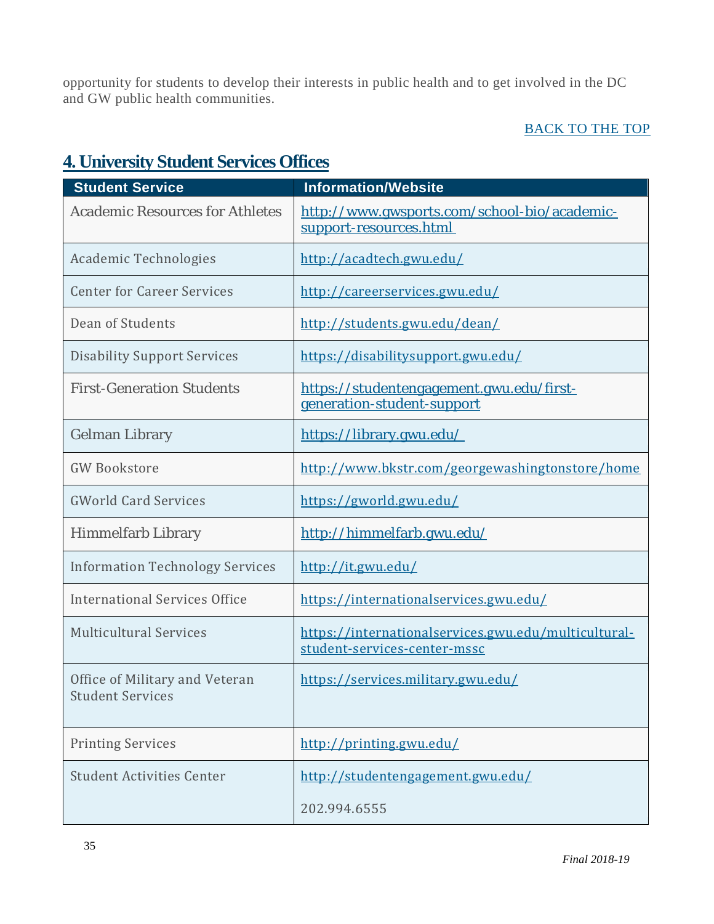opportunity for students to develop their interests in public health and to get involved in the DC and GW public health communities.

#### [BACK](#page-2-0) TO THE TOP

### <span id="page-35-0"></span>**4. University Student Services Offices**

| <b>Student Service</b>                                    | <b>Information/Website</b>                                                           |
|-----------------------------------------------------------|--------------------------------------------------------------------------------------|
| <b>Academic Resources for Athletes</b>                    | http://www.gwsports.com/school-bio/academic-<br>support-resources.html               |
| Academic Technologies                                     | http://acadtech.gwu.edu/                                                             |
| <b>Center for Career Services</b>                         | http://careerservices.gwu.edu/                                                       |
| Dean of Students                                          | http://students.gwu.edu/dean/                                                        |
| <b>Disability Support Services</b>                        | https://disabilitysupport.gwu.edu/                                                   |
| <b>First-Generation Students</b>                          | https://studentengagement.gwu.edu/first-<br>generation-student-support               |
| <b>Gelman Library</b>                                     | https://library.gwu.edu/                                                             |
| <b>GW Bookstore</b>                                       | http://www.bkstr.com/georgewashingtonstore/home                                      |
| <b>GWorld Card Services</b>                               | https://gworld.gwu.edu/                                                              |
| <b>Himmelfarb Library</b>                                 | http://himmelfarb.gwu.edu/                                                           |
| <b>Information Technology Services</b>                    | http://it.gwu.edu/                                                                   |
| International Services Office                             | https://internationalservices.gwu.edu/                                               |
| <b>Multicultural Services</b>                             | https://internationalservices.gwu.edu/multicultural-<br>student-services-center-mssc |
| Office of Military and Veteran<br><b>Student Services</b> | https://services.military.gwu.edu/                                                   |
| <b>Printing Services</b>                                  | http://printing.gwu.edu/                                                             |
| <b>Student Activities Center</b>                          | http://studentengagement.gwu.edu/                                                    |
|                                                           | 202.994.6555                                                                         |